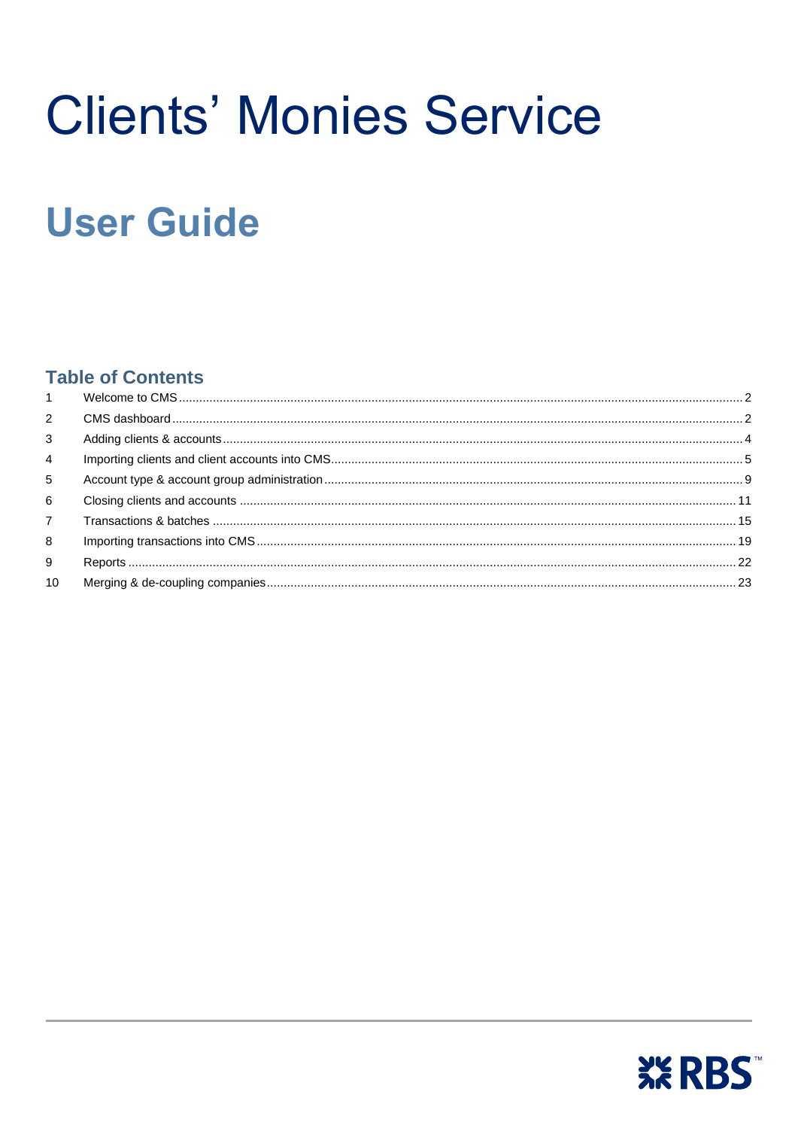# **Clients' Monies Service**

## **User Guide**

### **Table of Contents**

| $1 \quad$      |  |
|----------------|--|
| $\overline{2}$ |  |
| 3              |  |
| 4              |  |
| 5              |  |
| 6              |  |
| $\overline{7}$ |  |
| 8              |  |
| 9              |  |
| 10             |  |
|                |  |

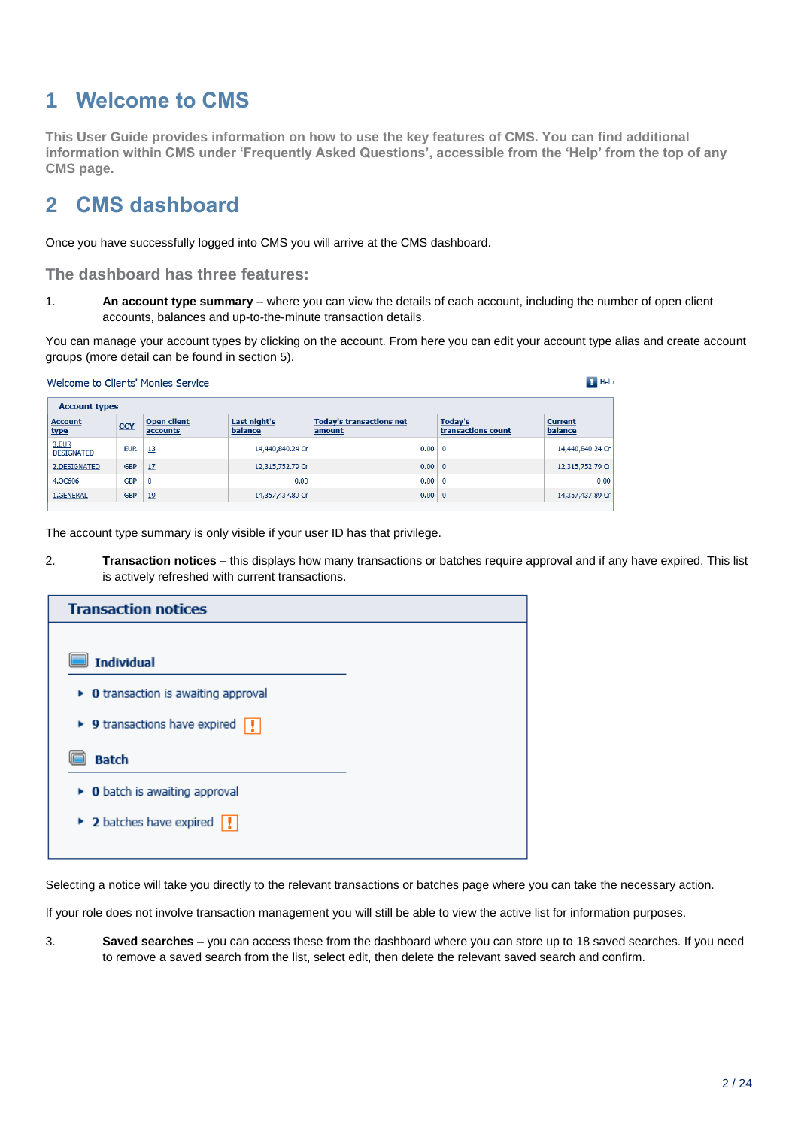## <span id="page-1-0"></span>**1 Welcome to CMS**

**This User Guide provides information on how to use the key features of CMS. You can find additional information within CMS under 'Frequently Asked Questions', accessible from the 'Help' from the top of any CMS page.**

## <span id="page-1-1"></span>**2 CMS dashboard**

Once you have successfully logged into CMS you will arrive at the CMS dashboard.

**The dashboard has three features:**

1. **An account type summary** – where you can view the details of each account, including the number of open client accounts, balances and up-to-the-minute transaction details.

You can manage your account types by clicking on the account. From here you can edit your account type alias and create account groups (more detail can be found in section 5).

|                               | $P$ Help<br>Welcome to Clients' Monies Service |                                |                         |                                           |                               |                           |  |  |  |  |  |
|-------------------------------|------------------------------------------------|--------------------------------|-------------------------|-------------------------------------------|-------------------------------|---------------------------|--|--|--|--|--|
|                               | <b>Account types</b>                           |                                |                         |                                           |                               |                           |  |  |  |  |  |
| <b>Account</b><br><u>type</u> | CCY                                            | <b>Open client</b><br>accounts | Last night's<br>balance | <b>Today's transactions net</b><br>amount | Today's<br>transactions count | <b>Current</b><br>balance |  |  |  |  |  |
| 3.EUR<br><b>DESIGNATED</b>    | <b>EUR</b>                                     | 13                             | 14,440,840.24 Cr        | 0.00                                      | $\Omega$                      | 14,440,840.24 Cr          |  |  |  |  |  |
| 2.DESIGNATED                  | <b>GBP</b>                                     | 17                             | 12,315,752.79 Cr        | $0.00 \,   \, 0$                          |                               | 12,315,752.79 Cr          |  |  |  |  |  |
| 4.QC606                       | <b>GBP</b>                                     | $\overline{0}$                 | 0.00                    | 0.00                                      | $\overline{0}$                | 0.00                      |  |  |  |  |  |
| 1.GENERAL                     | <b>GBP</b>                                     | 19                             | 14,357,437.89 Cr        | $0.00 \,   \, 0$                          |                               | 14,357,437.89 Cr          |  |  |  |  |  |

The account type summary is only visible if your user ID has that privilege.

2. **Transaction notices** – this displays how many transactions or batches require approval and if any have expired. This list is actively refreshed with current transactions.

| <b>Transaction notices</b>                                  |
|-------------------------------------------------------------|
|                                                             |
| <b>Individual</b>                                           |
| $\triangleright$ 0 transaction is awaiting approval         |
| ▶ 9 transactions have expired $\boxed{!}$                   |
| <b>Batch</b>                                                |
| $\triangleright$ 0 batch is awaiting approval               |
| $\triangleright$ 2 batches have expired $\vert \cdot \vert$ |
|                                                             |

Selecting a notice will take you directly to the relevant transactions or batches page where you can take the necessary action.

If your role does not involve transaction management you will still be able to view the active list for information purposes.

3. **Saved searches –** you can access these from the dashboard where you can store up to 18 saved searches. If you need to remove a saved search from the list, select edit, then delete the relevant saved search and confirm.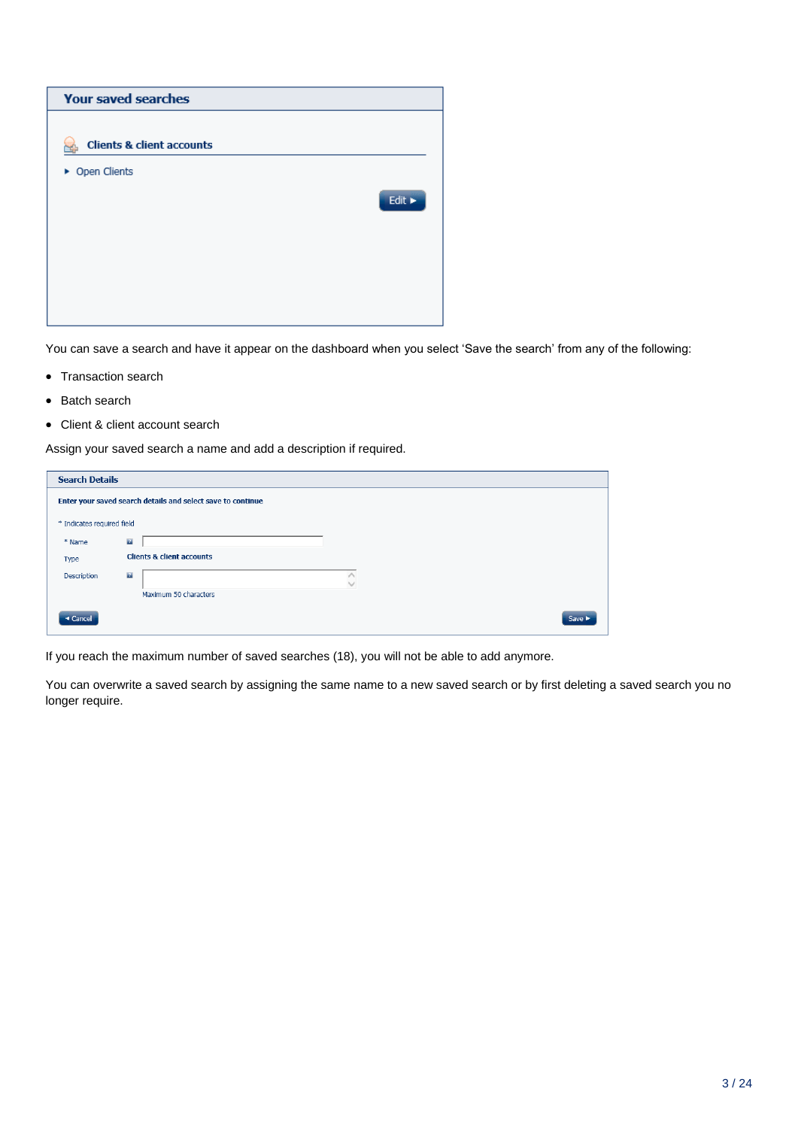

You can save a search and have it appear on the dashboard when you select 'Save the search' from any of the following:

- Transaction search
- Batch search
- Client & client account search

Assign your saved search a name and add a description if required.

| <b>Search Details</b>      |                                                             |      |  |  |  |  |  |  |
|----------------------------|-------------------------------------------------------------|------|--|--|--|--|--|--|
|                            | Enter your saved search details and select save to continue |      |  |  |  |  |  |  |
| * Indicates required field |                                                             |      |  |  |  |  |  |  |
| * Name                     | $\overline{t}$                                              |      |  |  |  |  |  |  |
| Type                       | <b>Clients &amp; client accounts</b>                        |      |  |  |  |  |  |  |
| Description                | $\overline{t}$                                              |      |  |  |  |  |  |  |
|                            | Maximum 50 characters                                       |      |  |  |  |  |  |  |
| ◀ Cancel                   |                                                             | Save |  |  |  |  |  |  |

If you reach the maximum number of saved searches (18), you will not be able to add anymore.

You can overwrite a saved search by assigning the same name to a new saved search or by first deleting a saved search you no longer require.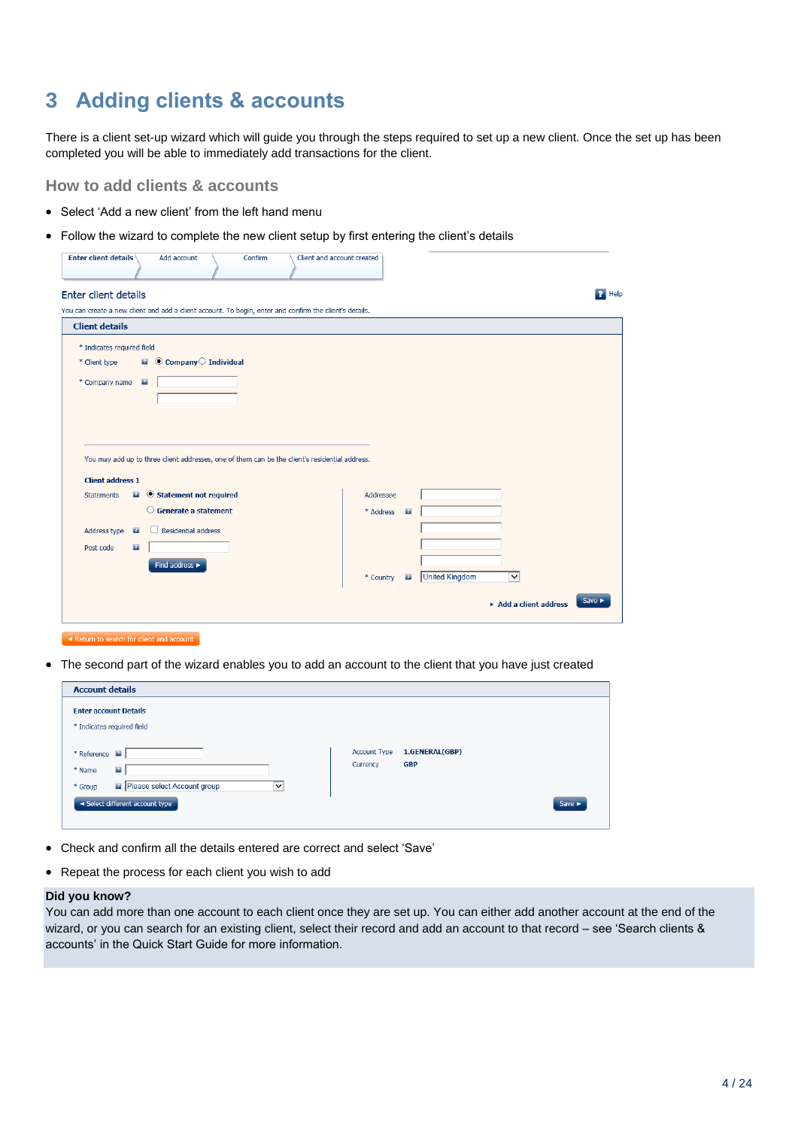## <span id="page-3-0"></span>**3 Adding clients & accounts**

There is a client set-up wizard which will guide you through the steps required to set up a new client. Once the set up has been completed you will be able to immediately add transactions for the client.

**How to add clients & accounts**

- Select 'Add a new client' from the left hand menu
- Follow the wizard to complete the new client setup by first entering the client's details

| <b>Enter client details</b>                        | Add account                                       | Confirm | Client and account created                                                                              |           |              |                                       |                            |
|----------------------------------------------------|---------------------------------------------------|---------|---------------------------------------------------------------------------------------------------------|-----------|--------------|---------------------------------------|----------------------------|
| Enter client details                               |                                                   |         |                                                                                                         |           |              |                                       | $\mathbf{P}$ Help          |
|                                                    |                                                   |         | You can create a new client and add a client account. To begin, enter and confirm the client's details. |           |              |                                       |                            |
| <b>Client details</b>                              |                                                   |         |                                                                                                         |           |              |                                       |                            |
| * Indicates required field                         |                                                   |         |                                                                                                         |           |              |                                       |                            |
| * Client type                                      | $\blacksquare$ $\odot$ Company $\odot$ Individual |         |                                                                                                         |           |              |                                       |                            |
| * Company name                                     | $\mathbb{Z}^n$                                    |         |                                                                                                         |           |              |                                       |                            |
|                                                    |                                                   |         |                                                                                                         |           |              |                                       |                            |
|                                                    |                                                   |         |                                                                                                         |           |              |                                       |                            |
|                                                    |                                                   |         |                                                                                                         |           |              |                                       |                            |
|                                                    |                                                   |         | You may add up to three client addresses, one of them can be the client's residential address.          |           |              |                                       |                            |
|                                                    |                                                   |         |                                                                                                         |           |              |                                       |                            |
| <b>Client address 1</b><br><b>Statements</b><br>21 | Statement not required                            |         |                                                                                                         | Addressee |              |                                       |                            |
|                                                    | $\bigcirc$ Generate a statement                   |         |                                                                                                         |           |              |                                       |                            |
|                                                    |                                                   |         |                                                                                                         | * Address | $\mathbf{r}$ |                                       |                            |
| Address type<br>$\mathbf{r}$                       | Residential address                               |         |                                                                                                         |           |              |                                       |                            |
| Post code<br>$\mathbf{z}$                          |                                                   |         |                                                                                                         |           |              |                                       |                            |
|                                                    | Find address >                                    |         |                                                                                                         |           |              |                                       |                            |
|                                                    |                                                   |         |                                                                                                         | * Country | $\mathbf{r}$ | <b>United Kingdom</b><br>$\checkmark$ |                            |
|                                                    |                                                   |         |                                                                                                         |           |              | Add a client address                  | Save $\blacktriangleright$ |

 $\sim$  Return to search for client and account

The second part of the wizard enables you to add an account to the client that you have just created

| <b>Account details</b>                                                                                                           |                                                                           |  |  |  |  |  |  |
|----------------------------------------------------------------------------------------------------------------------------------|---------------------------------------------------------------------------|--|--|--|--|--|--|
| <b>Enter account Details</b><br>* Indicates required field                                                                       |                                                                           |  |  |  |  |  |  |
| * Reference<br>$\mathbf{r}$<br>* Name<br>Please select Account group<br>* Group<br>$\checkmark$<br>Select different account type | 1.GENERAL(GBP)<br><b>Account Type</b><br><b>GBP</b><br>Currency<br>Save > |  |  |  |  |  |  |

- Check and confirm all the details entered are correct and select 'Save'
- Repeat the process for each client you wish to add

#### **Did you know?**

You can add more than one account to each client once they are set up. You can either add another account at the end of the wizard, or you can search for an existing client, select their record and add an account to that record – see 'Search clients & accounts' in the Quick Start Guide for more information.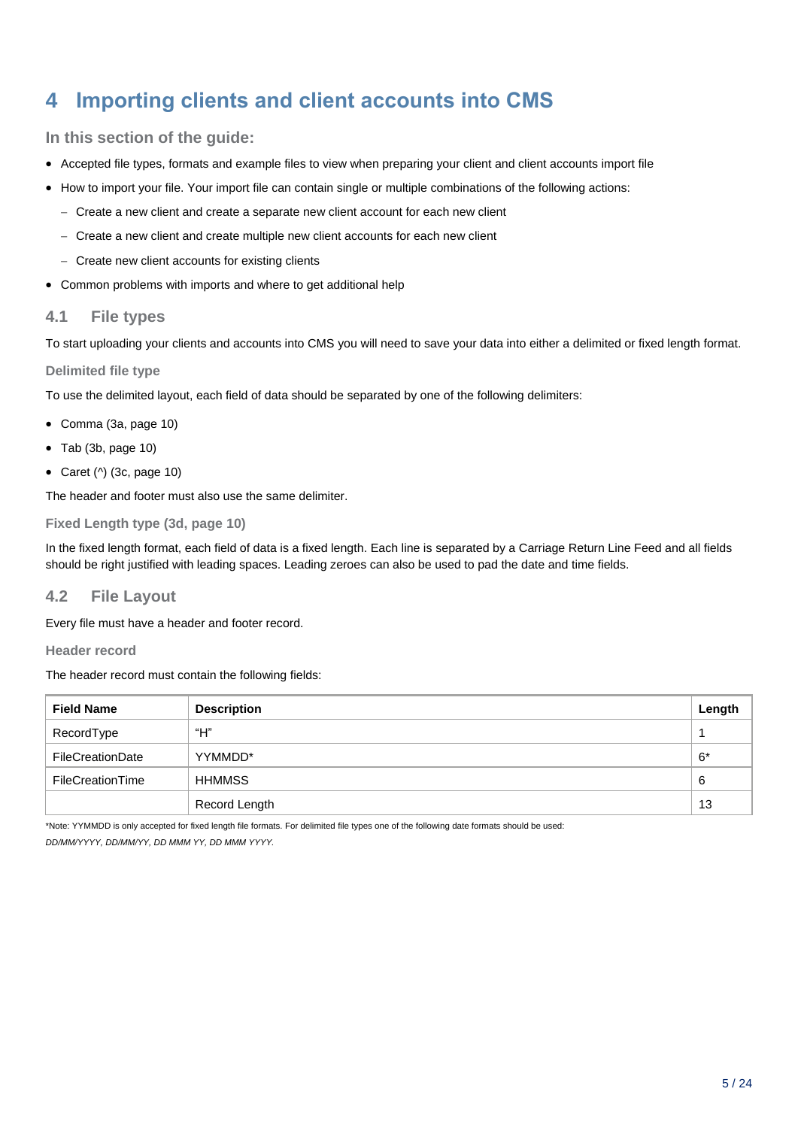## <span id="page-4-0"></span>**4 Importing clients and client accounts into CMS**

#### **In this section of the guide:**

- Accepted file types, formats and example files to view when preparing your client and client accounts import file
- How to import your file. Your import file can contain single or multiple combinations of the following actions:
	- Create a new client and create a separate new client account for each new client
	- Create a new client and create multiple new client accounts for each new client
	- Create new client accounts for existing clients
- Common problems with imports and where to get additional help

#### **4.1 File types**

To start uploading your clients and accounts into CMS you will need to save your data into either a delimited or fixed length format.

#### **Delimited file type**

To use the delimited layout, each field of data should be separated by one of the following delimiters:

- Comma (3a, page 10)
- Tab (3b, page 10)
- Caret  $(^\wedge)$  (3c, page 10)

The header and footer must also use the same delimiter.

#### **Fixed Length type (3d, page 10)**

In the fixed length format, each field of data is a fixed length. Each line is separated by a Carriage Return Line Feed and all fields should be right justified with leading spaces. Leading zeroes can also be used to pad the date and time fields.

#### **4.2 File Layout**

Every file must have a header and footer record.

**Header record**

The header record must contain the following fields:

| <b>Field Name</b> | <b>Description</b> | Length |
|-------------------|--------------------|--------|
| RecordType        | "Н"                |        |
| FileCreationDate  | YYMMDD*            | $6*$   |
| FileCreationTime  | HHMMSS             | 6      |
|                   | Record Length      | 13     |

\*Note: YYMMDD is only accepted for fixed length file formats. For delimited file types one of the following date formats should be used:

*DD/MM/YYYY, DD/MM/YY, DD MMM YY, DD MMM YYYY.*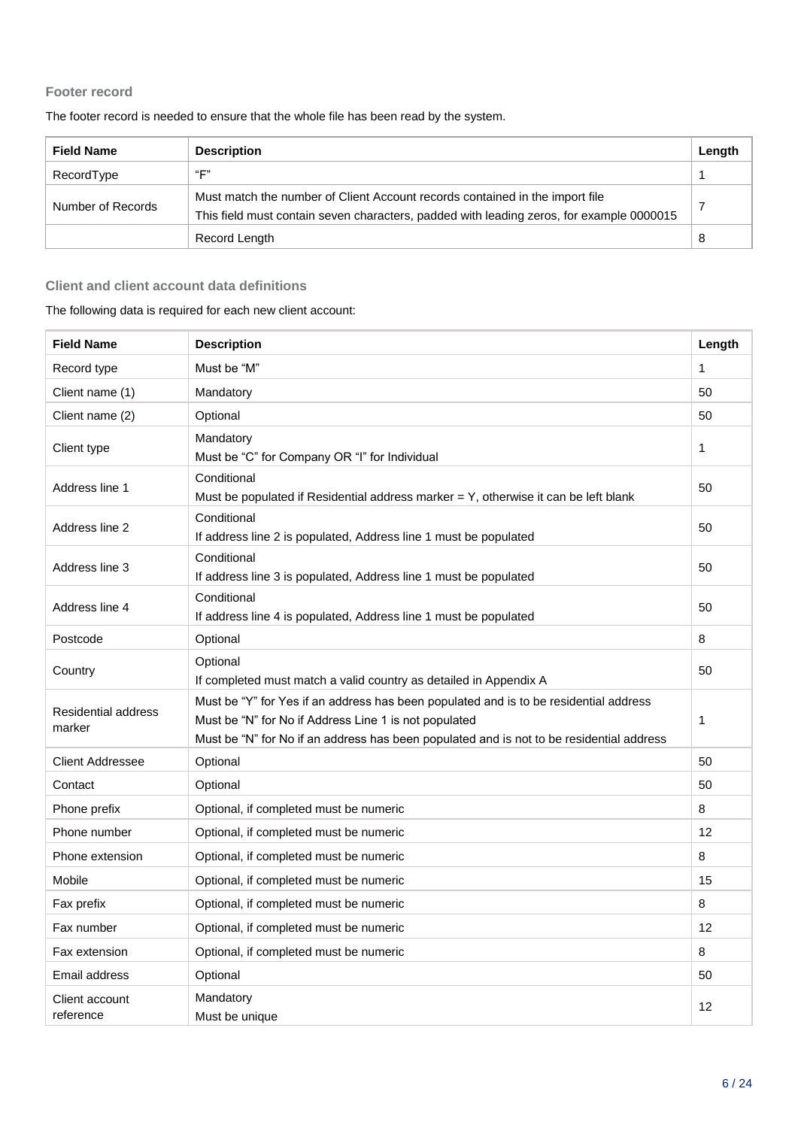#### **Footer record**

| <b>Field Name</b> | <b>Description</b>                                                                                                                                                       | Length |
|-------------------|--------------------------------------------------------------------------------------------------------------------------------------------------------------------------|--------|
| RecordType        | "F"                                                                                                                                                                      |        |
| Number of Records | Must match the number of Client Account records contained in the import file<br>This field must contain seven characters, padded with leading zeros, for example 0000015 |        |
|                   | Record Length                                                                                                                                                            | 8      |

The footer record is needed to ensure that the whole file has been read by the system.

#### **Client and client account data definitions**

#### The following data is required for each new client account:

| <b>Field Name</b>                    | <b>Description</b>                                                                                                                                                                                                                         | Length       |
|--------------------------------------|--------------------------------------------------------------------------------------------------------------------------------------------------------------------------------------------------------------------------------------------|--------------|
| Record type                          | Must be "M"                                                                                                                                                                                                                                | $\mathbf{1}$ |
| Client name (1)                      | Mandatory                                                                                                                                                                                                                                  | 50           |
| Client name (2)                      | Optional                                                                                                                                                                                                                                   | 50           |
| Client type                          | Mandatory<br>Must be "C" for Company OR "I" for Individual                                                                                                                                                                                 | $\mathbf{1}$ |
| Address line 1                       | Conditional<br>Must be populated if Residential address marker $= Y$ , otherwise it can be left blank                                                                                                                                      | 50           |
| Address line 2                       | Conditional<br>If address line 2 is populated, Address line 1 must be populated                                                                                                                                                            | 50           |
| Address line 3                       | Conditional<br>If address line 3 is populated, Address line 1 must be populated                                                                                                                                                            | 50           |
| Address line 4                       | Conditional<br>If address line 4 is populated, Address line 1 must be populated                                                                                                                                                            | 50           |
| Postcode                             | Optional                                                                                                                                                                                                                                   | 8            |
| Country                              | Optional<br>If completed must match a valid country as detailed in Appendix A                                                                                                                                                              | 50           |
| <b>Residential address</b><br>marker | Must be "Y" for Yes if an address has been populated and is to be residential address<br>Must be "N" for No if Address Line 1 is not populated<br>Must be "N" for No if an address has been populated and is not to be residential address | $\mathbf{1}$ |
| <b>Client Addressee</b>              | Optional                                                                                                                                                                                                                                   | 50           |
| Contact                              | Optional                                                                                                                                                                                                                                   | 50           |
| Phone prefix                         | Optional, if completed must be numeric                                                                                                                                                                                                     | 8            |
| Phone number                         | Optional, if completed must be numeric                                                                                                                                                                                                     | 12           |
| Phone extension                      | Optional, if completed must be numeric                                                                                                                                                                                                     | 8            |
| Mobile                               | Optional, if completed must be numeric                                                                                                                                                                                                     | 15           |
| Fax prefix                           | Optional, if completed must be numeric                                                                                                                                                                                                     | 8            |
| Fax number                           | Optional, if completed must be numeric                                                                                                                                                                                                     | 12           |
| Fax extension                        | Optional, if completed must be numeric                                                                                                                                                                                                     | 8            |
| Email address                        | Optional                                                                                                                                                                                                                                   | 50           |
| Client account<br>reference          | Mandatory<br>Must be unique                                                                                                                                                                                                                | 12           |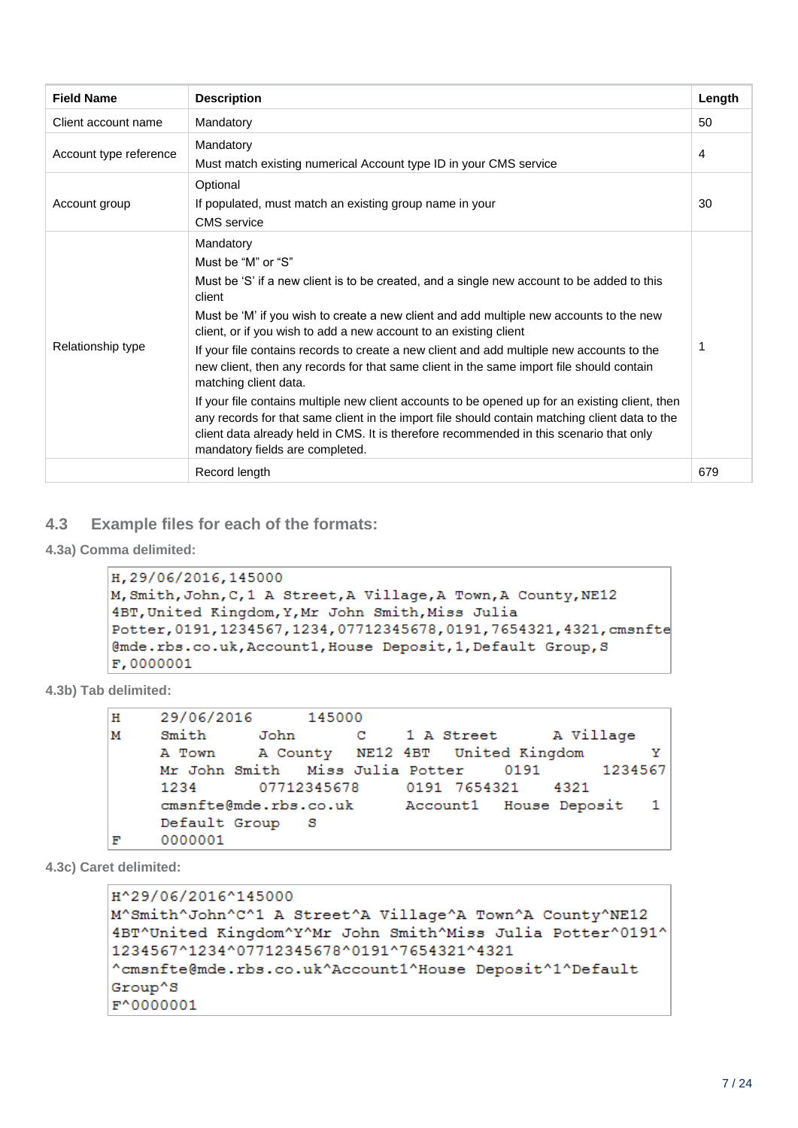| <b>Field Name</b>      | <b>Description</b>                                                                                                                                                                                                                                                                                                                                                                                                                                                                                                                                                                                                                                                                                                                                                                                                                                           | Length |
|------------------------|--------------------------------------------------------------------------------------------------------------------------------------------------------------------------------------------------------------------------------------------------------------------------------------------------------------------------------------------------------------------------------------------------------------------------------------------------------------------------------------------------------------------------------------------------------------------------------------------------------------------------------------------------------------------------------------------------------------------------------------------------------------------------------------------------------------------------------------------------------------|--------|
| Client account name    | Mandatory                                                                                                                                                                                                                                                                                                                                                                                                                                                                                                                                                                                                                                                                                                                                                                                                                                                    | 50     |
| Account type reference | Mandatory<br>Must match existing numerical Account type ID in your CMS service                                                                                                                                                                                                                                                                                                                                                                                                                                                                                                                                                                                                                                                                                                                                                                               | 4      |
| Account group          | Optional<br>If populated, must match an existing group name in your<br><b>CMS</b> service                                                                                                                                                                                                                                                                                                                                                                                                                                                                                                                                                                                                                                                                                                                                                                    | 30     |
| Relationship type      | Mandatory<br>Must be "M" or "S"<br>Must be 'S' if a new client is to be created, and a single new account to be added to this<br>client<br>Must be 'M' if you wish to create a new client and add multiple new accounts to the new<br>client, or if you wish to add a new account to an existing client<br>If your file contains records to create a new client and add multiple new accounts to the<br>new client, then any records for that same client in the same import file should contain<br>matching client data.<br>If your file contains multiple new client accounts to be opened up for an existing client, then<br>any records for that same client in the import file should contain matching client data to the<br>client data already held in CMS. It is therefore recommended in this scenario that only<br>mandatory fields are completed. | 1      |
|                        | Record length                                                                                                                                                                                                                                                                                                                                                                                                                                                                                                                                                                                                                                                                                                                                                                                                                                                | 679    |

#### **4.3 Example files for each of the formats:**

**4.3a) Comma delimited:**

```
H, 29/06/2016, 145000
M, Smith, John, C, 1 A Street, A Village, A Town, A County, NE12
4BT, United Kingdom, Y, Mr John Smith, Miss Julia
Potter, 0191, 1234567, 1234, 07712345678, 0191, 7654321, 4321, cmsnfte
@mde.rbs.co.uk, Account1, House Deposit, 1, Default Group, S
F,0000001
```
**4.3b) Tab delimited:**

| н | 29/06/2016 145000                              |  |  |  |  |              |  |
|---|------------------------------------------------|--|--|--|--|--------------|--|
| м | Smith John C 1 A Street A Village              |  |  |  |  |              |  |
|   | A Town A County NE12 4BT United Kingdom        |  |  |  |  | $\mathbf{Y}$ |  |
|   | Mr John Smith Miss Julia Potter 0191 1234567   |  |  |  |  |              |  |
|   | 1234 07712345678 0191 7654321 4321             |  |  |  |  |              |  |
|   | cmsnfte@mde.rbs.co.uk Account1 House Deposit 1 |  |  |  |  |              |  |
|   | Default Group S                                |  |  |  |  |              |  |
| F | 0000001                                        |  |  |  |  |              |  |
|   |                                                |  |  |  |  |              |  |

**4.3c) Caret delimited:**

```
H^29/06/2016^145000
M^Smith^John^C^1 A Street^A Village^A Town^A County^NE12
4BT^United Kingdom^Y^Mr John Smith^Miss Julia Potter^0191^
1234567^1234^07712345678^0191^7654321^4321
^cmsnfte@mde.rbs.co.uk^Account1^House Deposit^1^Default
Group^S
F^0000001
```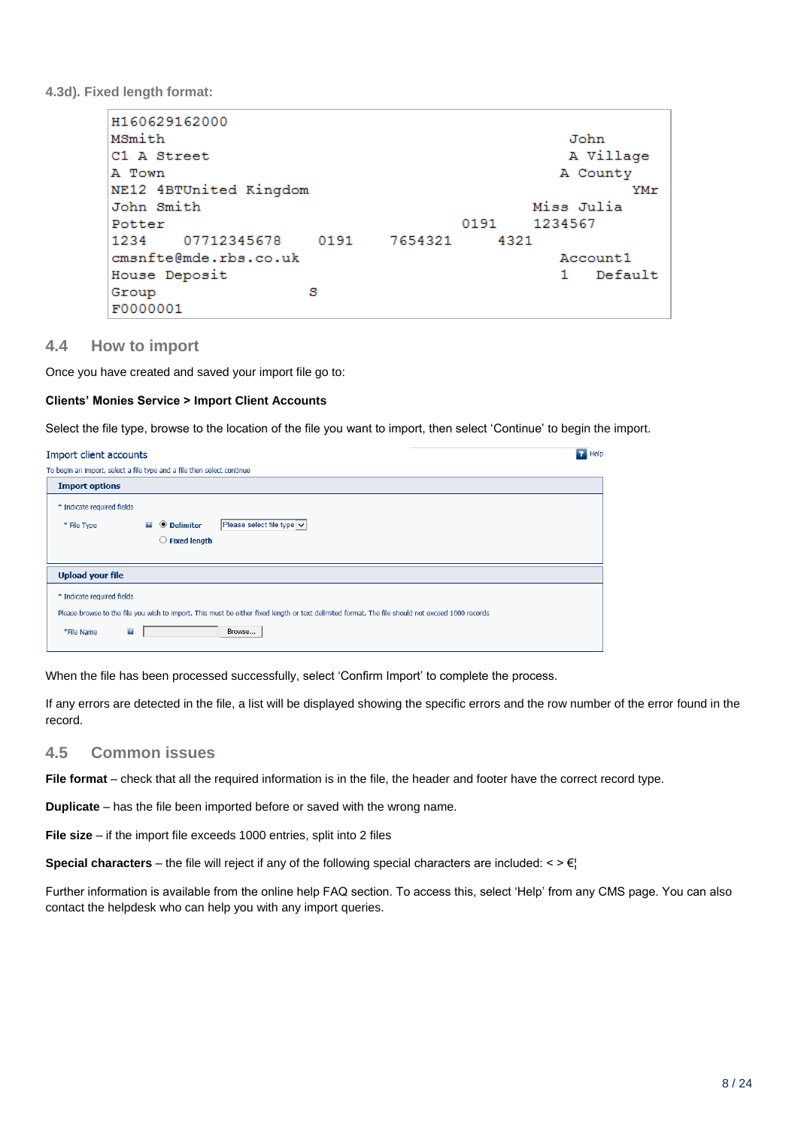**4.3d). Fixed length format:**

| H160629162000          |      |         |      |            |           |
|------------------------|------|---------|------|------------|-----------|
| MSmith                 |      |         |      |            | John      |
| C1 A Street            |      |         |      |            | A Village |
| A Town                 |      |         |      |            | A County  |
| NE12 4BTUnited Kingdom |      |         |      |            | YMr       |
| John Smith             |      |         |      | Miss Julia |           |
| Potter                 |      |         | 0191 | 1234567    |           |
| 07712345678<br>1234    | 0191 | 7654321 | 4321 |            |           |
| cmsnfte@mde.rbs.co.uk  |      |         |      |            | Account1  |
| House Deposit          |      |         |      |            | Default   |
| Group                  | s    |         |      |            |           |
| F0000001               |      |         |      |            |           |

#### **4.4 How to import**

Once you have created and saved your import file go to:

#### **Clients' Monies Service > Import Client Accounts**

Select the file type, browse to the location of the file you want to import, then select 'Continue' to begin the import.

| Import client accounts                                                                                                                                                                                                   | $P$ Help |
|--------------------------------------------------------------------------------------------------------------------------------------------------------------------------------------------------------------------------|----------|
| To begin an import, select a file type and a file then select continue                                                                                                                                                   |          |
| <b>Import options</b>                                                                                                                                                                                                    |          |
| * Indicate required fields<br>Please select file type $\vee$<br><b>O</b> Delimiter<br>24<br>* File Type<br><b>Fixed length</b><br>O                                                                                      |          |
| <b>Upload your file</b>                                                                                                                                                                                                  |          |
| * Indicate required fields<br>Please browse to the file you wish to import. This must be either fixed length or text delimited format. The file should not exceed 1000 records<br>$\overline{P}$<br>Browse<br>*File Name |          |

When the file has been processed successfully, select 'Confirm Import' to complete the process.

If any errors are detected in the file, a list will be displayed showing the specific errors and the row number of the error found in the record.

#### **4.5 Common issues**

**File format** – check that all the required information is in the file, the header and footer have the correct record type.

**Duplicate** – has the file been imported before or saved with the wrong name.

**File size** – if the import file exceeds 1000 entries, split into 2 files

**Special characters** – the file will reject if any of the following special characters are included:  $\langle \rangle \in \mathbb{R}$ 

Further information is available from the online help FAQ section. To access this, select 'Help' from any CMS page. You can also contact the helpdesk who can help you with any import queries.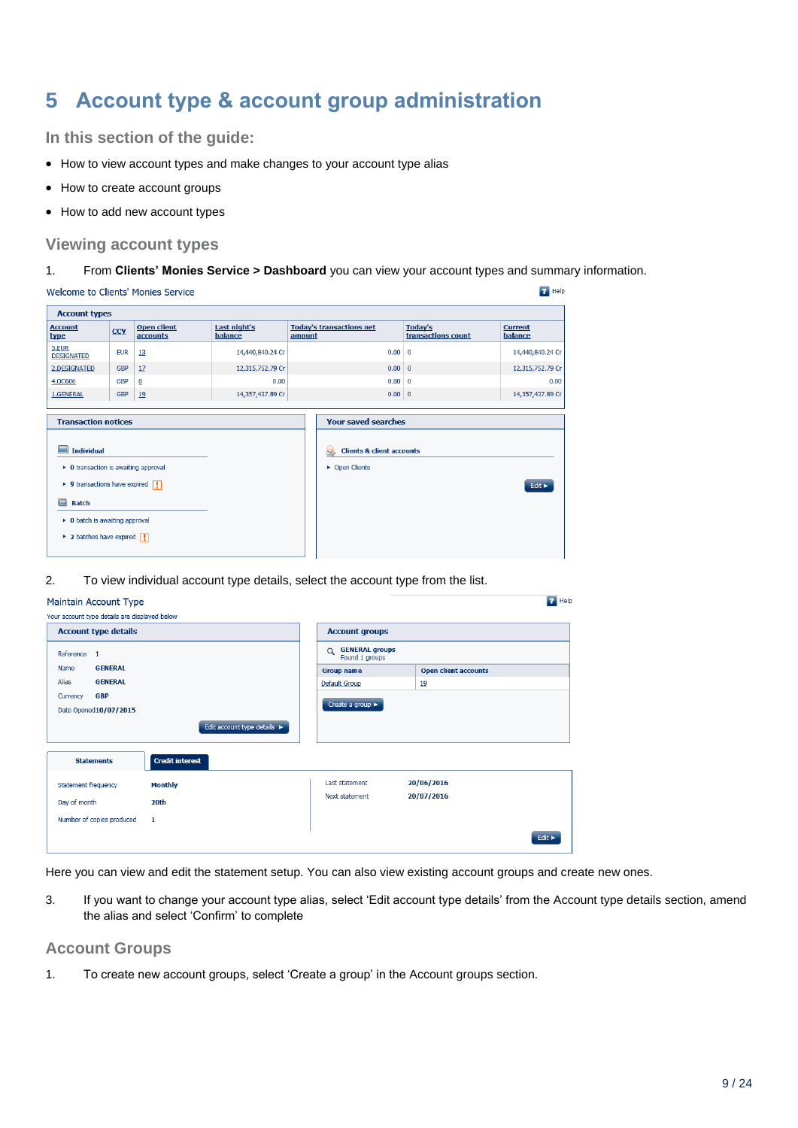## <span id="page-8-0"></span>**5 Account type & account group administration**

**In this section of the guide:**

- How to view account types and make changes to your account type alias
- How to create account groups
- How to add new account types

#### **Viewing account types**

#### 1. From **Clients' Monies Service > Dashboard** you can view your account types and summary information.

| <b>Account types</b>                                                                                                           |            |                                |                         |                                            |                               |                            |
|--------------------------------------------------------------------------------------------------------------------------------|------------|--------------------------------|-------------------------|--------------------------------------------|-------------------------------|----------------------------|
| <b>Account</b><br>type                                                                                                         | <b>CCY</b> | <b>Open client</b><br>accounts | Last night's<br>balance | <b>Today's transactions net</b><br>amount  | Today's<br>transactions count | <b>Current</b><br>balance  |
| 3.EUR<br><b>DESIGNATED</b>                                                                                                     | <b>EUR</b> | 13                             | 14,440,840.24 Cr        | 0.00                                       | $\mathbf{0}$                  | 14,440,840.24 Cr           |
| 2.DESIGNATED                                                                                                                   | <b>GBP</b> | 17                             | 12,315,752.79 Cr        |                                            | 0.00 0                        | 12,315,752.79 Cr           |
| 4.QC606                                                                                                                        | <b>GBP</b> | $\overline{0}$                 | 0.00                    | 0.00                                       | $\mathbf 0$                   | 0.00                       |
| 1.GENERAL                                                                                                                      | <b>GBP</b> | 19                             | 14,357,437.89 Cr        |                                            | 0.00 0                        | 14,357,437.89 Cr           |
| <b>Individual</b>                                                                                                              |            |                                |                         | <b>Clients &amp; client accounts</b><br>H. |                               |                            |
| • O transaction is awaiting approval<br>$\triangleright$ 9 transactions have expired $\boxed{ \cdot }$<br><b>Batch</b>         |            |                                |                         | • Open Clients                             |                               | Edit $\blacktriangleright$ |
| $\triangleright$ 0 batch is awaiting approval<br>$\triangleright$ 2 batches have expired $\begin{array}{ c c c }\n\end{array}$ |            |                                |                         |                                            |                               |                            |

2. To view individual account type details, select the account type from the list.

#### Maintain Account Type

| <b>Account type details</b>               |                             | <b>Account groups</b>                               |                             |  |
|-------------------------------------------|-----------------------------|-----------------------------------------------------|-----------------------------|--|
| Reference 1                               |                             | <b>GENERAL groups</b><br>$\alpha$<br>Found 1 groups |                             |  |
| <b>GENERAL</b><br>Name                    |                             | <b>Group name</b>                                   | <b>Open client accounts</b> |  |
| <b>GENERAL</b><br>Alias                   |                             | Default Group                                       | 19                          |  |
| <b>GBP</b><br>Currency                    |                             |                                                     |                             |  |
| Date Opened10/07/2015                     |                             | Create a group >                                    |                             |  |
|                                           | Edit account type details > |                                                     |                             |  |
| <b>Statements</b>                         | <b>Credit interest</b>      |                                                     |                             |  |
| Statement frequency                       | <b>Monthly</b>              | Last statement                                      | 20/06/2016                  |  |
|                                           |                             | Next statement                                      | 20/07/2016                  |  |
|                                           | 20th                        |                                                     |                             |  |
| Day of month<br>Number of copies produced | $\mathbf{1}$                |                                                     |                             |  |

Here you can view and edit the statement setup. You can also view existing account groups and create new ones.

3. If you want to change your account type alias, select 'Edit account type details' from the Account type details section, amend the alias and select 'Confirm' to complete

 $\overline{P}$  Help

#### **Account Groups**

1. To create new account groups, select 'Create a group' in the Account groups section.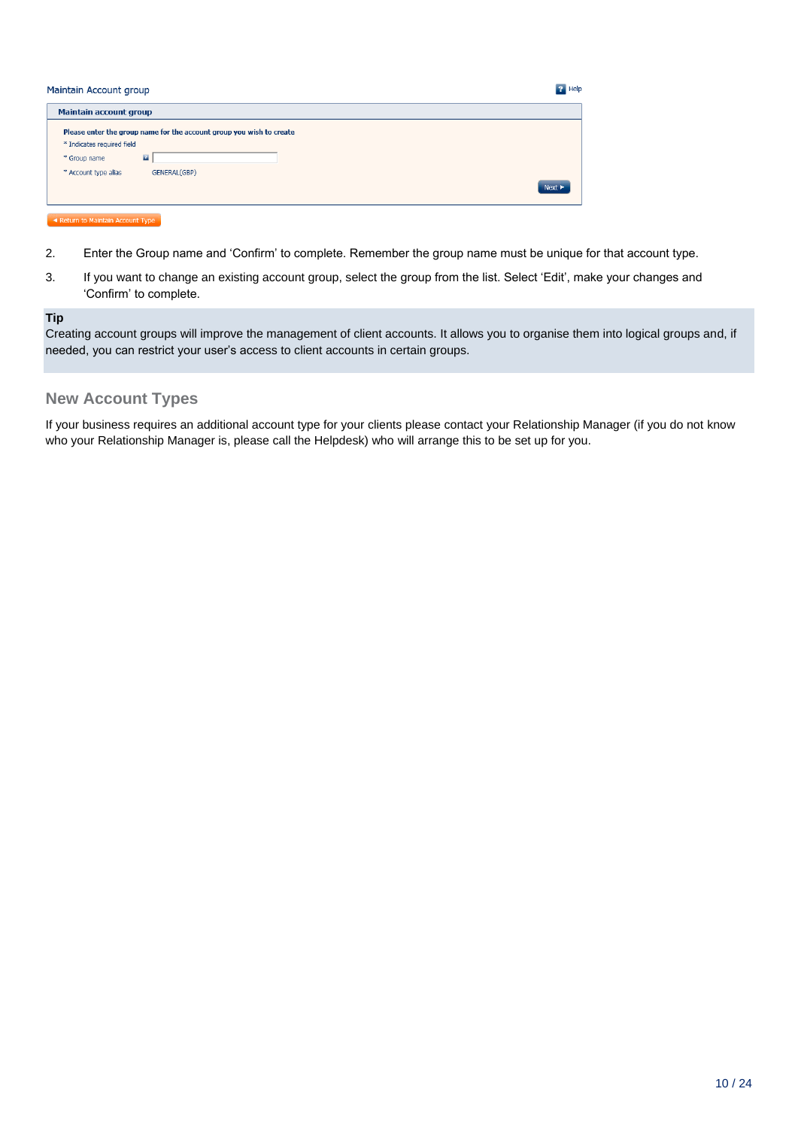| Maintain Account group                                                                                                                                                       | <b>P</b> Help |
|------------------------------------------------------------------------------------------------------------------------------------------------------------------------------|---------------|
| <b>Maintain account group</b>                                                                                                                                                |               |
| Please enter the group name for the account group you wish to create<br>* Indicates required field<br>$\overline{B}$<br>* Group name<br>* Account type alias<br>GENERAL(GBP) | <b>Next</b>   |

#### Return to Maintain Account Type

- 2. Enter the Group name and 'Confirm' to complete. Remember the group name must be unique for that account type.
- 3. If you want to change an existing account group, select the group from the list. Select 'Edit', make your changes and 'Confirm' to complete.

#### **Tip**

Creating account groups will improve the management of client accounts. It allows you to organise them into logical groups and, if needed, you can restrict your user's access to client accounts in certain groups.

#### **New Account Types**

If your business requires an additional account type for your clients please contact your Relationship Manager (if you do not know who your Relationship Manager is, please call the Helpdesk) who will arrange this to be set up for you.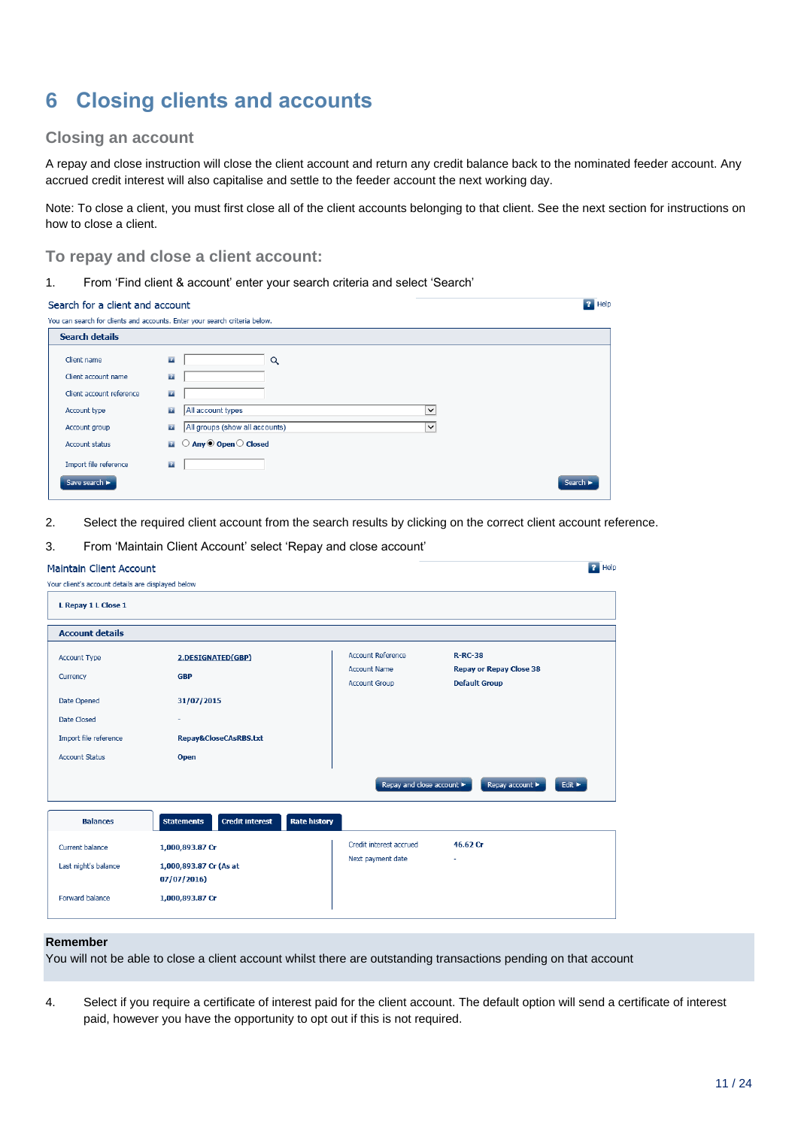## <span id="page-10-0"></span>**6 Closing clients and accounts**

#### **Closing an account**

A repay and close instruction will close the client account and return any credit balance back to the nominated feeder account. Any accrued credit interest will also capitalise and settle to the feeder account the next working day.

Note: To close a client, you must first close all of the client accounts belonging to that client. See the next section for instructions on how to close a client.

 $\overline{P}$  Help

**P** Help

#### **To repay and close a client account:**

1. From 'Find client & account' enter your search criteria and select 'Search'

| Search for a client and account |  |  |
|---------------------------------|--|--|
|---------------------------------|--|--|

| You can search for clients and accounts. Enter your search criteria below.<br><b>Search details</b>                   |  |
|-----------------------------------------------------------------------------------------------------------------------|--|
|                                                                                                                       |  |
|                                                                                                                       |  |
| $\mathbf{r}$<br>Client name<br>Q<br>$\overline{z}$<br>Client account name<br>Client account reference<br>$\mathbf{r}$ |  |
| $\overline{1}$<br>All account types<br>$\check{~}$<br>Account type                                                    |  |
| All groups (show all accounts)<br>$\mathbf{r}$<br>Account group<br>$\check{~}$                                        |  |
| $\bigcirc$ Any $\odot$ Open $\bigcirc$ Closed<br>$\mathbf{r}$<br><b>Account status</b>                                |  |
| $\mathbf{r}$<br>Import file reference                                                                                 |  |
| Save search<br>Search >                                                                                               |  |

2. Select the required client account from the search results by clicking on the correct client account reference.

#### 3. From 'Maintain Client Account' select 'Repay and close account'

| <b>Maintain Client Account</b> |  |
|--------------------------------|--|
|                                |  |

| Your client's account details are displayed below |                                                                    |                                             |                                                        |
|---------------------------------------------------|--------------------------------------------------------------------|---------------------------------------------|--------------------------------------------------------|
| L Repay 1 L Close 1                               |                                                                    |                                             |                                                        |
| <b>Account details</b>                            |                                                                    |                                             |                                                        |
| Account Type                                      | 2.DESIGNATED(GBP)                                                  | <b>Account Reference</b>                    | $R-RC-38$                                              |
| Currency                                          | <b>GBP</b>                                                         | <b>Account Name</b><br><b>Account Group</b> | <b>Repay or Repay Close 38</b><br><b>Default Group</b> |
| Date Opened                                       | 31/07/2015                                                         |                                             |                                                        |
| Date Closed                                       |                                                                    |                                             |                                                        |
| Import file reference                             | Repay&CloseCAsRBS.txt                                              |                                             |                                                        |
| <b>Account Status</b>                             | Open                                                               |                                             |                                                        |
|                                                   |                                                                    | Repay and close account ▶                   | Repay account<br>Edit >                                |
| <b>Balances</b>                                   | <b>Credit interest</b><br><b>Rate history</b><br><b>Statements</b> |                                             |                                                        |
| Current balance                                   | 1,000,893.87 Cr                                                    | Credit interest accrued                     | 46.62 Cr                                               |
| Last night's balance                              | 1,000,893.87 Cr (As at                                             | Next payment date                           |                                                        |
|                                                   | 07/07/2016                                                         |                                             |                                                        |
| Forward balance                                   | 1,000,893.87 Cr                                                    |                                             |                                                        |

#### **Remember**

You will not be able to close a client account whilst there are outstanding transactions pending on that account

4. Select if you require a certificate of interest paid for the client account. The default option will send a certificate of interest paid, however you have the opportunity to opt out if this is not required.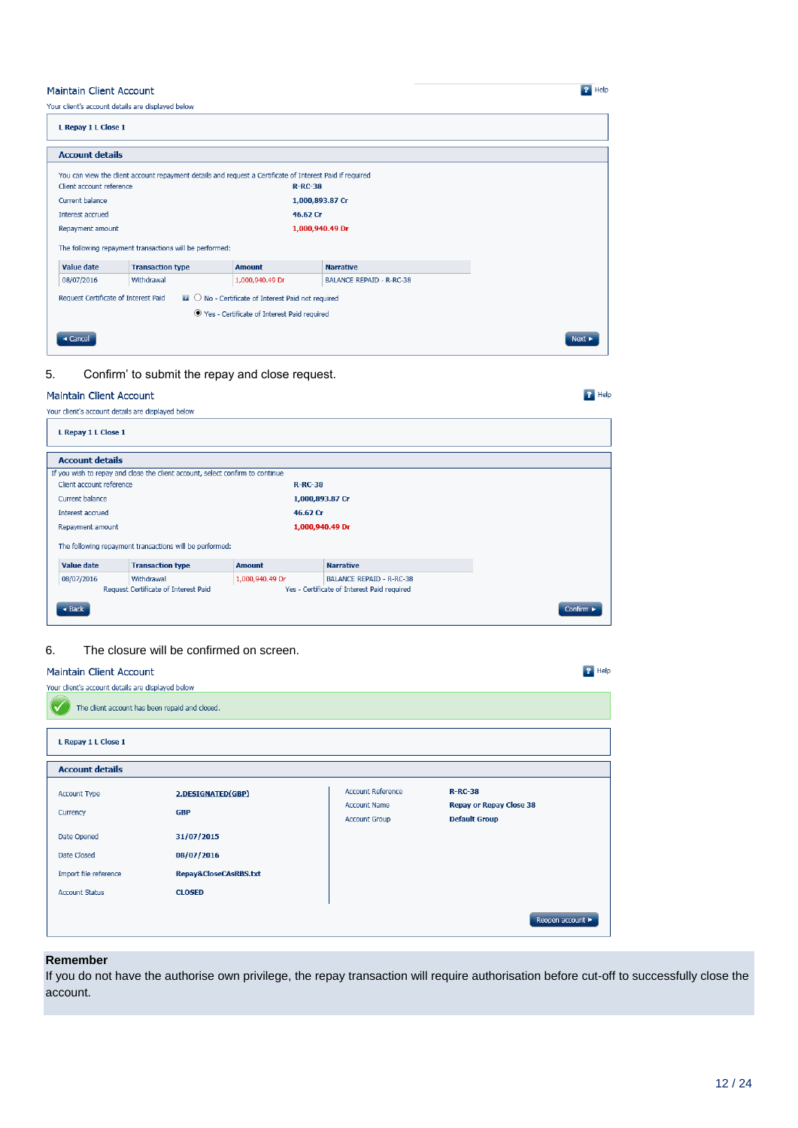#### **Maintain Client Account**

Your client's account details are displayed below

| L Repay 1 L Close 1                                                                                              |                                                                                                          |                 |                                 |        |  |
|------------------------------------------------------------------------------------------------------------------|----------------------------------------------------------------------------------------------------------|-----------------|---------------------------------|--------|--|
| <b>Account details</b>                                                                                           |                                                                                                          |                 |                                 |        |  |
|                                                                                                                  | You can view the client account repayment details and request a Certificate of Interest Paid if required |                 |                                 |        |  |
| Client account reference                                                                                         |                                                                                                          | $R-RC-38$       |                                 |        |  |
| Current balance                                                                                                  |                                                                                                          |                 | 1,000,893.87 Cr                 |        |  |
| Interest accrued                                                                                                 |                                                                                                          | 46.62 Cr        |                                 |        |  |
| Repayment amount                                                                                                 |                                                                                                          |                 | 1,000,940.49 Dr                 |        |  |
|                                                                                                                  | The following repayment transactions will be performed:                                                  |                 |                                 |        |  |
| <b>Value date</b>                                                                                                | <b>Transaction type</b>                                                                                  | <b>Amount</b>   | <b>Narrative</b>                |        |  |
| 08/07/2016                                                                                                       | Withdrawal                                                                                               | 1,000,940.49 Dr | <b>BALANCE REPAID - R-RC-38</b> |        |  |
| $\blacksquare$ $\bigcirc$ No - Certificate of Interest Paid not required<br>Request Certificate of Interest Paid |                                                                                                          |                 |                                 |        |  |
| ● Yes - Certificate of Interest Paid required                                                                    |                                                                                                          |                 |                                 |        |  |
| « Cancel                                                                                                         |                                                                                                          |                 |                                 | Next > |  |

 $\overline{P}$  Help

 $\overline{P}$  Help

 $\overline{B}$  Help

5. Confirm' to submit the repay and close request.

#### Maintain Client Account

| Your client's account details are displayed below |  |  |  |
|---------------------------------------------------|--|--|--|

| L Repay 1 L Close 1                                                           |                 |                                             |                               |  |
|-------------------------------------------------------------------------------|-----------------|---------------------------------------------|-------------------------------|--|
| <b>Account details</b>                                                        |                 |                                             |                               |  |
| If you wish to repay and close the client account, select confirm to continue |                 |                                             |                               |  |
| Client account reference                                                      | $R-RC-38$       |                                             |                               |  |
| Current balance                                                               | 1,000,893.87 Cr |                                             |                               |  |
| Interest accrued                                                              | 46.62 Cr        |                                             |                               |  |
| Repayment amount                                                              | 1,000,940.49 Dr |                                             |                               |  |
| The following repayment transactions will be performed:                       |                 |                                             |                               |  |
| Value date<br><b>Transaction type</b>                                         | <b>Amount</b>   | <b>Narrative</b>                            |                               |  |
| 08/07/2016<br>Withdrawal                                                      | 1,000,940.49 Dr | <b>BALANCE REPAID - R-RC-38</b>             |                               |  |
| Request Certificate of Interest Paid                                          |                 | Yes - Certificate of Interest Paid required |                               |  |
| $\triangleleft$ Back                                                          |                 |                                             | Confirm $\blacktriangleright$ |  |

#### 6. The closure will be confirmed on screen.

#### Maintain Client Account

| Your client's account details are displayed below             |                                                      |                                                                         |                                                                     |  |  |
|---------------------------------------------------------------|------------------------------------------------------|-------------------------------------------------------------------------|---------------------------------------------------------------------|--|--|
| The client account has been repaid and closed.                |                                                      |                                                                         |                                                                     |  |  |
| L Repay 1 L Close 1                                           |                                                      |                                                                         |                                                                     |  |  |
| <b>Account details</b>                                        |                                                      |                                                                         |                                                                     |  |  |
| <b>Account Type</b><br>Currency<br>Date Opened                | 2.DESIGNATED(GBP)<br><b>GBP</b><br>31/07/2015        | <b>Account Reference</b><br><b>Account Name</b><br><b>Account Group</b> | $R-RC-38$<br><b>Repay or Repay Close 38</b><br><b>Default Group</b> |  |  |
| Date Closed<br>Import file reference<br><b>Account Status</b> | 08/07/2016<br>Repay&CloseCAsRBS.txt<br><b>CLOSED</b> |                                                                         |                                                                     |  |  |
|                                                               |                                                      |                                                                         | Reopen account ▶                                                    |  |  |

#### **Remember**

If you do not have the authorise own privilege, the repay transaction will require authorisation before cut-off to successfully close the account.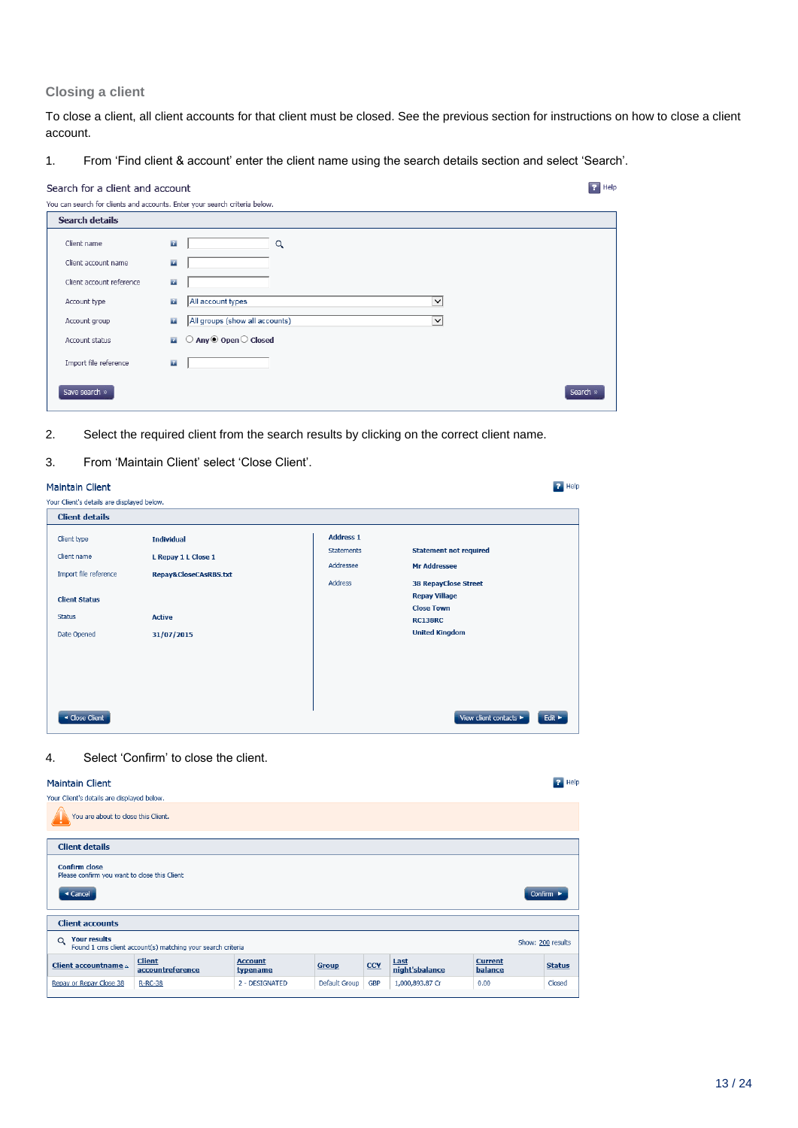#### **Closing a client**

To close a client, all client accounts for that client must be closed. See the previous section for instructions on how to close a client account.

1. From 'Find client & account' enter the client name using the search details section and select 'Search'.

| Search for a client and account                                            |              |                                                  | $\boxed{?}$ Help |
|----------------------------------------------------------------------------|--------------|--------------------------------------------------|------------------|
| You can search for clients and accounts. Enter your search criteria below. |              |                                                  |                  |
| <b>Search details</b>                                                      |              |                                                  |                  |
| Client name                                                                | $\mathbf{P}$ | Q                                                |                  |
| Client account name                                                        | $\mathbf{r}$ |                                                  |                  |
| Client account reference                                                   | $\mathbf{Z}$ |                                                  |                  |
| Account type                                                               | $\mathbf{r}$ | All account types<br>$\check{ }$                 |                  |
| Account group                                                              | $\mathbf{r}$ | All groups (show all accounts)<br>$\check{~}$    |                  |
| Account status                                                             | $\mathbf{r}$ | $\bigcirc$ Any $\bigcirc$ Open $\bigcirc$ Closed |                  |
| Import file reference                                                      | $\mathbf{r}$ |                                                  |                  |
| Save search »                                                              |              | Search »                                         |                  |

- 2. Select the required client from the search results by clicking on the correct client name.
- 3. From 'Maintain Client' select 'Close Client'.

| <b>Maintain Client</b>                        |                                          |                                                    | $P$ Help                                                                 |
|-----------------------------------------------|------------------------------------------|----------------------------------------------------|--------------------------------------------------------------------------|
| Your Client's details are displayed below.    |                                          |                                                    |                                                                          |
| <b>Client details</b>                         |                                          |                                                    |                                                                          |
| Client type<br>Client name                    | <b>Individual</b><br>L Repay 1 L Close 1 | <b>Address 1</b><br><b>Statements</b><br>Addressee | <b>Statement not required</b><br><b>Mr Addressee</b>                     |
| Import file reference<br><b>Client Status</b> | Repay&CloseCAsRBS.txt                    | <b>Address</b>                                     | <b>38 RepayClose Street</b><br><b>Repay Village</b><br><b>Close Town</b> |
| <b>Status</b><br>Date Opened                  | <b>Active</b><br>31/07/2015              |                                                    | <b>RC138RC</b><br><b>United Kingdom</b>                                  |
| ◀ Close Client                                |                                          |                                                    | View client contacts<br>Edit $\blacktriangleright$                       |

#### 4. Select 'Confirm' to close the client.

#### Maintain Client **R** Help Your Client's details are displayed below. You are about to close this Client. **Client details Confirm close**<br>Please confirm you want to close this Client Gancel  $Confirm \rightarrow$ **Client accounts** Q Your results<br>Found 1 cms client account(s) matching your search criteria Show: 200 results  $\begin{tabular}{c|c|c} \textbf{\textcolor{blue}{Client} accountname $\scriptstyle{\wedge}$} & \textbf{\textcolor{blue}{Client}} \\ \hline \textbf{\textcolor{blue}{\textbf{account}name} $\scriptstyle{\wedge}$} & \textbf{\textcolor{blue}{account} reference} \end{tabular}$ Account<br>typename Last<br>night'sbalance **Current**<br>balance Group  $\overline{\text{CCY}}$ **Status** Repay or Repay Close 38 R-RC-38 Default Group GBP Closed 2 - DESIGNATED 1.000.893.87 Cr  $0.00$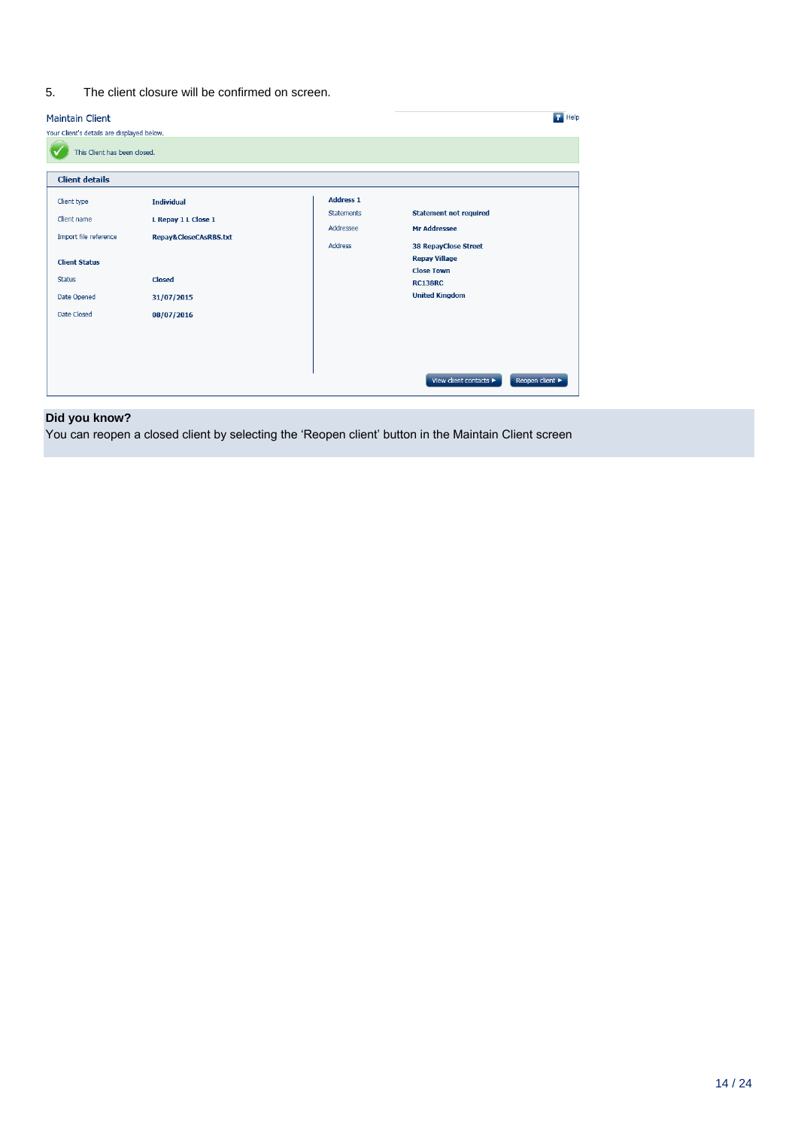#### 5. The client closure will be confirmed on screen.

#### Maintain Client

| <b>Maintain Client</b>                     |                       |                                | $P$ Help                                             |  |
|--------------------------------------------|-----------------------|--------------------------------|------------------------------------------------------|--|
| Your Client's details are displayed below. |                       |                                |                                                      |  |
| This Client has been closed.               |                       |                                |                                                      |  |
| <b>Client details</b>                      |                       |                                |                                                      |  |
| Client type                                | <b>Individual</b>     | <b>Address 1</b>               |                                                      |  |
| Client name                                | L Repay 1 L Close 1   | <b>Statements</b><br>Addressee | <b>Statement not required</b><br><b>Mr Addressee</b> |  |
| Import file reference                      | Repay&CloseCAsRBS.txt | Address                        | <b>38 RepayClose Street</b>                          |  |
| <b>Client Status</b>                       |                       |                                | <b>Repay Village</b>                                 |  |
| <b>Status</b>                              | <b>Closed</b>         |                                | <b>Close Town</b><br><b>RC138RC</b>                  |  |
| Date Opened                                | 31/07/2015            |                                | <b>United Kingdom</b>                                |  |
| Date Closed                                | 08/07/2016            |                                |                                                      |  |
|                                            |                       |                                |                                                      |  |
|                                            |                       |                                |                                                      |  |
|                                            |                       |                                | View client contacts ><br>Reopen client ▶            |  |

#### **Did you know?**

You can reopen a closed client by selecting the 'Reopen client' button in the Maintain Client screen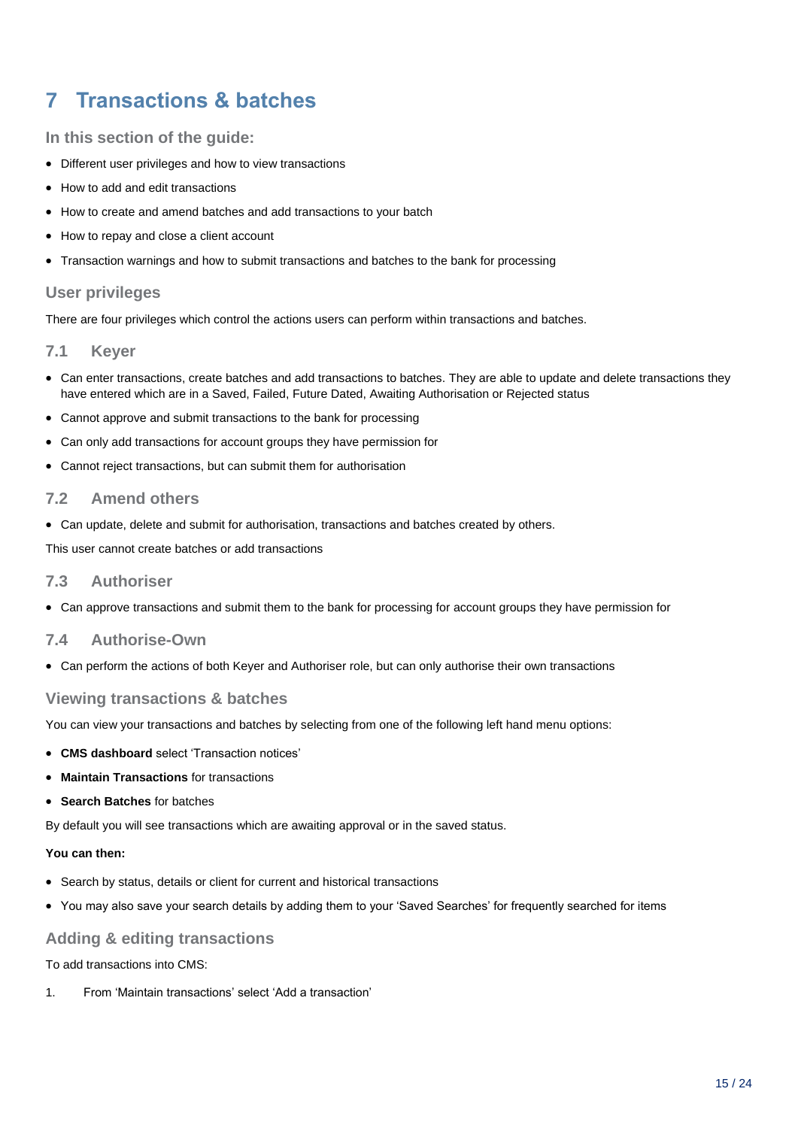## <span id="page-14-0"></span>**7 Transactions & batches**

**In this section of the guide:**

- Different user privileges and how to view transactions
- How to add and edit transactions
- How to create and amend batches and add transactions to your batch
- How to repay and close a client account
- Transaction warnings and how to submit transactions and batches to the bank for processing

#### **User privileges**

There are four privileges which control the actions users can perform within transactions and batches.

#### **7.1 Keyer**

- Can enter transactions, create batches and add transactions to batches. They are able to update and delete transactions they have entered which are in a Saved, Failed, Future Dated, Awaiting Authorisation or Rejected status
- Cannot approve and submit transactions to the bank for processing
- Can only add transactions for account groups they have permission for
- Cannot reject transactions, but can submit them for authorisation

#### **7.2 Amend others**

Can update, delete and submit for authorisation, transactions and batches created by others.

This user cannot create batches or add transactions

#### **7.3 Authoriser**

Can approve transactions and submit them to the bank for processing for account groups they have permission for

#### **7.4 Authorise-Own**

Can perform the actions of both Keyer and Authoriser role, but can only authorise their own transactions

#### **Viewing transactions & batches**

You can view your transactions and batches by selecting from one of the following left hand menu options:

- **CMS dashboard** select 'Transaction notices'
- **Maintain Transactions** for transactions
- **Search Batches** for batches

By default you will see transactions which are awaiting approval or in the saved status.

#### **You can then:**

- Search by status, details or client for current and historical transactions
- You may also save your search details by adding them to your 'Saved Searches' for frequently searched for items

#### **Adding & editing transactions**

To add transactions into CMS:

1. From 'Maintain transactions' select 'Add a transaction'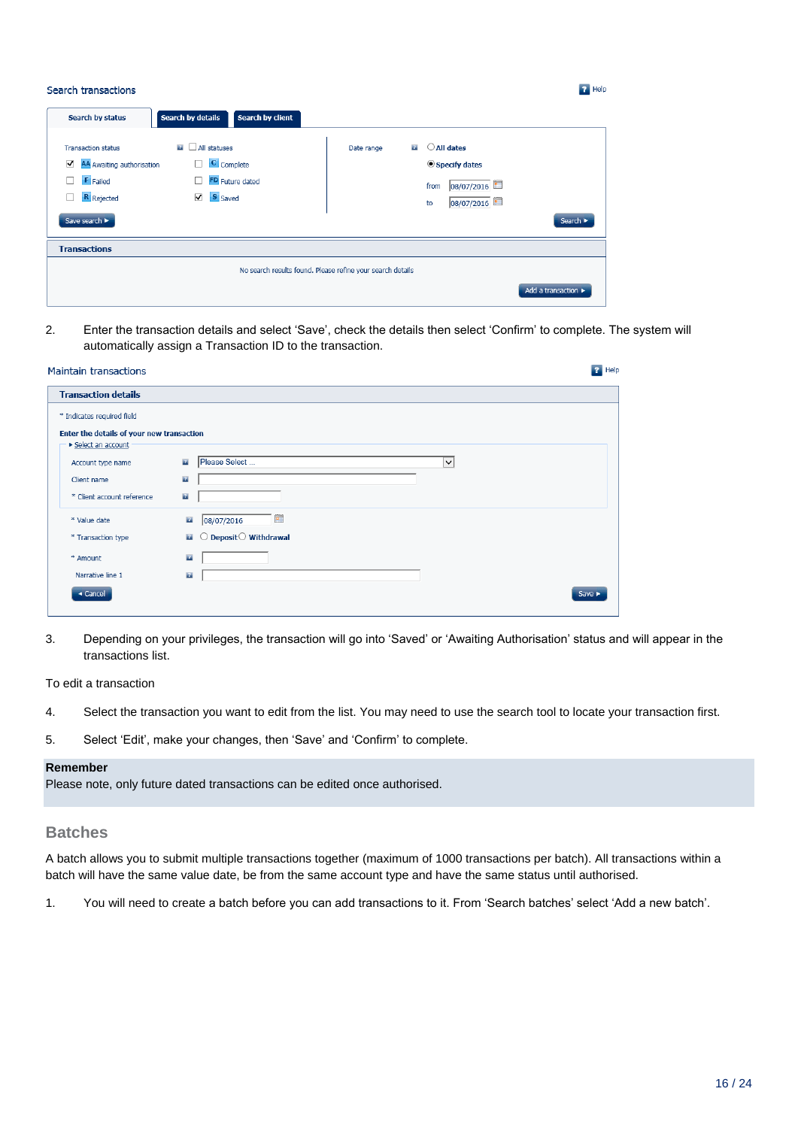| Search transactions                                                                                                    |                                                                         | <b>P</b> Help                                                                                                                       |
|------------------------------------------------------------------------------------------------------------------------|-------------------------------------------------------------------------|-------------------------------------------------------------------------------------------------------------------------------------|
| Search by status                                                                                                       | <b>Search by details</b><br>Search by client                            |                                                                                                                                     |
| <b>Transaction status</b><br>☑<br>AA Awaiting authorisation<br><b>F</b> Failed<br>п<br>R Rejected<br>П.<br>Save search | <b>EL</b> All statuses<br>C Complete<br>FD Future dated<br>S Saved<br>▿ | $\bigcirc$ All dates<br>21<br>Date range<br>Specify dates<br>08/07/2016<br>from<br>08/07/2016<br>to<br>Search $\blacktriangleright$ |
| <b>Transactions</b>                                                                                                    |                                                                         |                                                                                                                                     |
|                                                                                                                        |                                                                         | No search results found. Please refine your search details                                                                          |
|                                                                                                                        |                                                                         | Add a transaction >                                                                                                                 |

2. Enter the transaction details and select 'Save', check the details then select 'Confirm' to complete. The system will automatically assign a Transaction ID to the transaction.

| <b>Maintain transactions</b>              |                                                          | $P$ Help                   |
|-------------------------------------------|----------------------------------------------------------|----------------------------|
| <b>Transaction details</b>                |                                                          |                            |
| * Indicates required field                |                                                          |                            |
| Enter the details of your new transaction |                                                          |                            |
| ▶ Select an account                       |                                                          |                            |
| Account type name                         | Please Select<br>$\mathbf{r}$<br>$\checkmark$            |                            |
| Client name                               | $\mathbf{Z}$                                             |                            |
| * Client account reference                | $\mathbf{r}$                                             |                            |
| * Value date                              | $\blacksquare$<br>$\mathbf{r}$<br>08/07/2016             |                            |
| * Transaction type                        | Deposit $\bigcirc$ Withdrawal<br>$\mathbf{r}$<br>$\circ$ |                            |
| * Amount                                  | $\mathbf{r}$                                             |                            |
| Narrative line 1                          | $\mathbf{r}$                                             |                            |
| $\triangleleft$ Cancel                    |                                                          | Save $\blacktriangleright$ |
|                                           |                                                          |                            |

3. Depending on your privileges, the transaction will go into 'Saved' or 'Awaiting Authorisation' status and will appear in the transactions list.

To edit a transaction

- 4. Select the transaction you want to edit from the list. You may need to use the search tool to locate your transaction first.
- 5. Select 'Edit', make your changes, then 'Save' and 'Confirm' to complete.

#### **Remember**

Please note, only future dated transactions can be edited once authorised.

#### **Batches**

A batch allows you to submit multiple transactions together (maximum of 1000 transactions per batch). All transactions within a batch will have the same value date, be from the same account type and have the same status until authorised.

1. You will need to create a batch before you can add transactions to it. From 'Search batches' select 'Add a new batch'.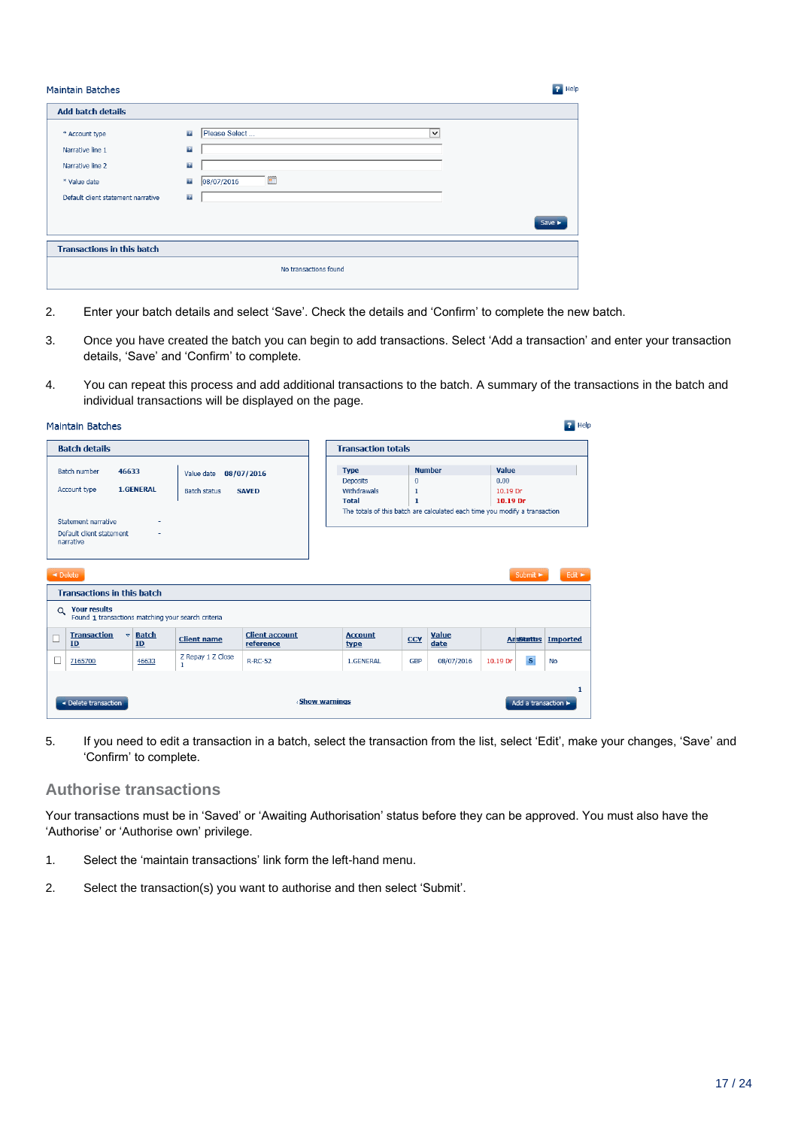| <b>Maintain Batches</b>                                                |                                                              |                                                 | <b>P</b> Help              |
|------------------------------------------------------------------------|--------------------------------------------------------------|-------------------------------------------------|----------------------------|
| <b>Add batch details</b>                                               |                                                              |                                                 |                            |
| * Account type<br>Narrative line 1<br>Narrative line 2<br>* Value date | $\mathbf{z}$<br>$\mathbf{r}$<br>$\mathbf{r}$<br>$\mathbf{z}$ | Please Select<br>$\check{ }$<br>圃<br>08/07/2016 |                            |
| Default client statement narrative                                     | $\mathbf{z}$                                                 |                                                 | Save $\blacktriangleright$ |
| <b>Transactions in this batch</b>                                      |                                                              |                                                 |                            |
|                                                                        |                                                              | No transactions found                           |                            |

- 2. Enter your batch details and select 'Save'. Check the details and 'Confirm' to complete the new batch.
- 3. Once you have created the batch you can begin to add transactions. Select 'Add a transaction' and enter your transaction details, 'Save' and 'Confirm' to complete.
- 4. You can repeat this process and add additional transactions to the batch. A summary of the transactions in the batch and individual transactions will be displayed on the page.

| <b>Batch details</b>                                                                  |                                           |                                   |                                    |                               | <b>Transaction totals</b>   |                                                                            |                            |  |
|---------------------------------------------------------------------------------------|-------------------------------------------|-----------------------------------|------------------------------------|-------------------------------|-----------------------------|----------------------------------------------------------------------------|----------------------------|--|
| <b>Batch number</b>                                                                   | 46633                                     | Value date                        | 08/07/2016                         | <b>Type</b>                   | <b>Number</b>               | Value                                                                      |                            |  |
|                                                                                       |                                           |                                   |                                    | <b>Deposits</b>               | $\mathbf{0}$                | 0.00                                                                       |                            |  |
| Account type                                                                          | <b>1.GENERAL</b>                          | <b>Batch status</b>               | <b>SAVED</b>                       | Withdrawals                   | 1                           | 10.19 Dr                                                                   |                            |  |
|                                                                                       |                                           |                                   |                                    | <b>Total</b>                  | $\mathbf{1}$                | 10.19 Dr                                                                   |                            |  |
|                                                                                       |                                           |                                   |                                    |                               |                             | The totals of this batch are calculated each time you modify a transaction |                            |  |
| Statement narrative                                                                   |                                           |                                   |                                    |                               |                             |                                                                            |                            |  |
| Default client statement                                                              |                                           |                                   |                                    |                               |                             |                                                                            |                            |  |
| narrative                                                                             |                                           |                                   |                                    |                               |                             |                                                                            |                            |  |
|                                                                                       |                                           |                                   |                                    |                               |                             |                                                                            |                            |  |
|                                                                                       |                                           |                                   |                                    |                               |                             |                                                                            |                            |  |
|                                                                                       |                                           |                                   |                                    |                               |                             |                                                                            |                            |  |
| $\triangleleft$ Delete                                                                |                                           |                                   |                                    |                               |                             | Submit $\blacktriangleright$                                               | Edit $\blacktriangleright$ |  |
| <b>Transactions in this batch</b>                                                     |                                           |                                   |                                    |                               |                             |                                                                            |                            |  |
| <b>Your results</b><br>$\alpha$<br>Found 1 transactions matching your search criteria |                                           |                                   |                                    |                               |                             |                                                                            |                            |  |
| <b>Transaction</b><br>ID                                                              | <b>Batch</b><br>$\overline{\nabla}$<br>ID | <b>Client name</b>                | <b>Client account</b><br>reference | <b>Account</b><br><b>type</b> | Value<br><b>CCY</b><br>date | <b>AmStattis</b>                                                           | Imported                   |  |
| 7165700                                                                               | 46633                                     | Z Repay 1 Z Close<br>$\mathbf{1}$ | <b>R-RC-52</b>                     | 1.GENERAL                     | 08/07/2016<br><b>GBP</b>    | $\mathbf{s}$<br>10.19 Dr                                                   | <b>No</b>                  |  |
|                                                                                       |                                           |                                   |                                    |                               |                             |                                                                            |                            |  |
|                                                                                       |                                           |                                   |                                    |                               |                             |                                                                            |                            |  |

5. If you need to edit a transaction in a batch, select the transaction from the list, select 'Edit', make your changes, 'Save' and 'Confirm' to complete.

#### **Authorise transactions**

Your transactions must be in 'Saved' or 'Awaiting Authorisation' status before they can be approved. You must also have the 'Authorise' or 'Authorise own' privilege.

- 1. Select the 'maintain transactions' link form the left-hand menu.
- 2. Select the transaction(s) you want to authorise and then select 'Submit'.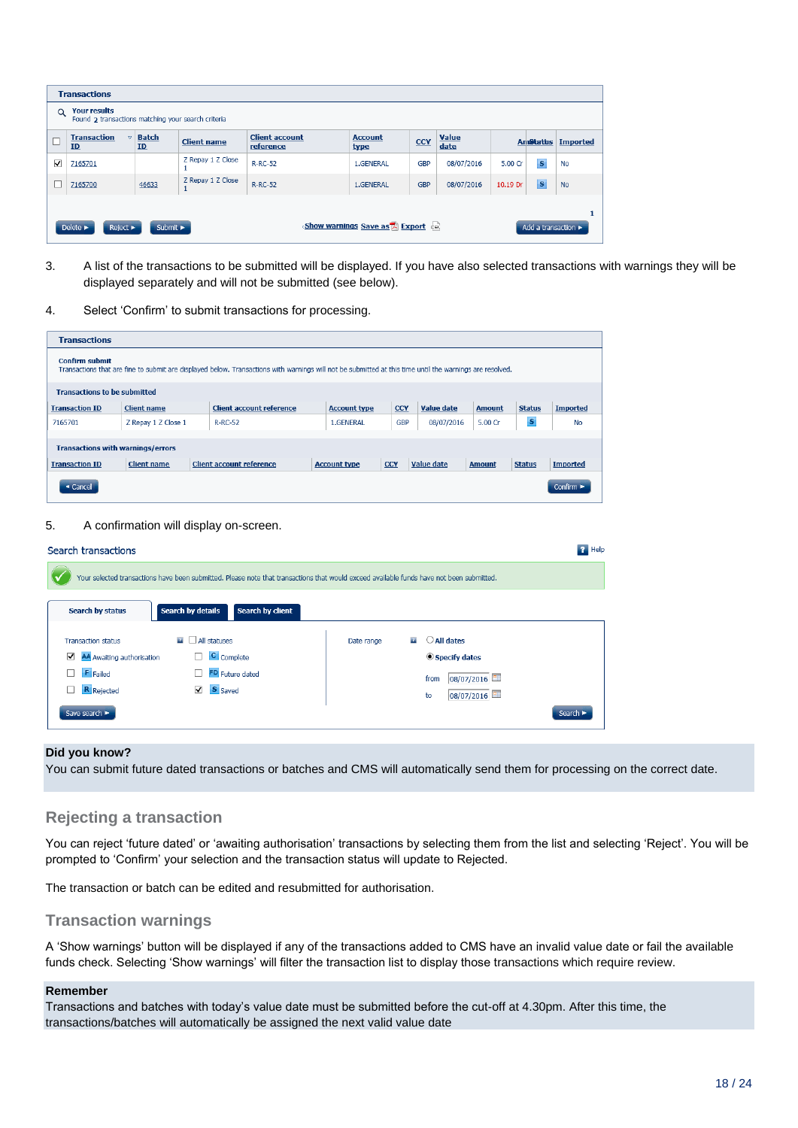| <b>Transactions</b>                                                                                                                                                                            |                                                 |                    |                    |                                    |                        |            |                      |          |                  |                 |
|------------------------------------------------------------------------------------------------------------------------------------------------------------------------------------------------|-------------------------------------------------|--------------------|--------------------|------------------------------------|------------------------|------------|----------------------|----------|------------------|-----------------|
| <b>Your results</b><br>$\alpha$<br>Found 2 transactions matching your search criteria                                                                                                          |                                                 |                    |                    |                                    |                        |            |                      |          |                  |                 |
|                                                                                                                                                                                                | <b>Transaction</b><br>$\overline{\nabla}$<br>ID | <b>Batch</b><br>ID | <b>Client name</b> | <b>Client account</b><br>reference | <b>Account</b><br>type | <b>CCY</b> | <b>Value</b><br>date |          | <b>AmStattus</b> | <b>Imported</b> |
| $\blacktriangledown$                                                                                                                                                                           | 7165701                                         |                    | Z Repay 1 Z Close  | <b>R-RC-52</b>                     | 1.GENERAL              | <b>GBP</b> | 08/07/2016           | 5.00 Cr  | $\mathbf{s}$     | <b>No</b>       |
|                                                                                                                                                                                                | 7165700                                         | 46633              | Z Repay 1 Z Close  | <b>R-RC-52</b>                     | 1.GENERAL              | <b>GBP</b> | 08/07/2016           | 10.19 Dr | $\mathbf{s}$     | <b>No</b>       |
|                                                                                                                                                                                                |                                                 |                    |                    |                                    |                        |            |                      |          |                  |                 |
| <show a="" as="" est<br="" export="" save="" warnings="">Submit <math>\blacktriangleright</math><br/>Delete &gt;<br/>Reject &gt;<br/>Add a transaction <math>\blacktriangleright</math></show> |                                                 |                    |                    |                                    |                        |            |                      |          |                  |                 |

- 3. A list of the transactions to be submitted will be displayed. If you have also selected transactions with warnings they will be displayed separately and will not be submitted (see below).
- 4. Select 'Confirm' to submit transactions for processing.

| <b>Transactions</b>                                                                                                                                                               |                     |                                 |                     |            |                   |               |               |                               |
|-----------------------------------------------------------------------------------------------------------------------------------------------------------------------------------|---------------------|---------------------------------|---------------------|------------|-------------------|---------------|---------------|-------------------------------|
| <b>Confirm submit</b><br>Transactions that are fine to submit are displayed below. Transactions with warnings will not be submitted at this time until the warnings are resolved. |                     |                                 |                     |            |                   |               |               |                               |
| <b>Transactions to be submitted</b>                                                                                                                                               |                     |                                 |                     |            |                   |               |               |                               |
| <b>Transaction ID</b>                                                                                                                                                             | <b>Client name</b>  | <b>Client account reference</b> | <b>Account type</b> | <b>CCY</b> | Value date        | <b>Amount</b> | <b>Status</b> | <b>Imported</b>               |
| 7165701                                                                                                                                                                           | Z Repay 1 Z Close 1 | <b>R-RC-52</b>                  | 1.GENERAL           | <b>GBP</b> | 08/07/2016        | 5.00 Cr       | s             | No                            |
| <b>Transactions with warnings/errors</b>                                                                                                                                          |                     |                                 |                     |            |                   |               |               |                               |
| <b>Transaction ID</b>                                                                                                                                                             | <b>Client name</b>  | <b>Client account reference</b> | <b>Account type</b> | <b>CCY</b> | <b>Value date</b> | <b>Amount</b> | <b>Status</b> | <b>Imported</b>               |
| ◀ Cancel                                                                                                                                                                          |                     |                                 |                     |            |                   |               |               | Confirm $\blacktriangleright$ |

#### 5. A confirmation will display on-screen.

| Search transactions                                                                          |                                                                                                                                          |            |                                                                                       | <b>P</b> Help |
|----------------------------------------------------------------------------------------------|------------------------------------------------------------------------------------------------------------------------------------------|------------|---------------------------------------------------------------------------------------|---------------|
|                                                                                              | Your selected transactions have been submitted. Please note that transactions that would exceed available funds have not been submitted. |            |                                                                                       |               |
| Search by status                                                                             | Search by details<br><b>Search by client</b>                                                                                             |            |                                                                                       |               |
| <b>Transaction status</b><br>AA Awaiting authorisation<br>⊽<br><b>F</b> Failed<br>R Rejected | All statuses<br>$\mathbf{r}$<br>C Complete<br>ш<br>FD Future dated<br>S Saved<br>▽                                                       | Date range | $\bigcirc$ All dates<br>21<br>Specify dates<br>08/07/2016<br>from<br>08/07/2016<br>to |               |
| Save search                                                                                  |                                                                                                                                          |            | Search I                                                                              |               |

#### **Did you know?**

You can submit future dated transactions or batches and CMS will automatically send them for processing on the correct date.

#### **Rejecting a transaction**

You can reject 'future dated' or 'awaiting authorisation' transactions by selecting them from the list and selecting 'Reject'. You will be prompted to 'Confirm' your selection and the transaction status will update to Rejected.

The transaction or batch can be edited and resubmitted for authorisation.

#### **Transaction warnings**

A 'Show warnings' button will be displayed if any of the transactions added to CMS have an invalid value date or fail the available funds check. Selecting 'Show warnings' will filter the transaction list to display those transactions which require review.

#### **Remember**

Transactions and batches with today's value date must be submitted before the cut-off at 4.30pm. After this time, the transactions/batches will automatically be assigned the next valid value date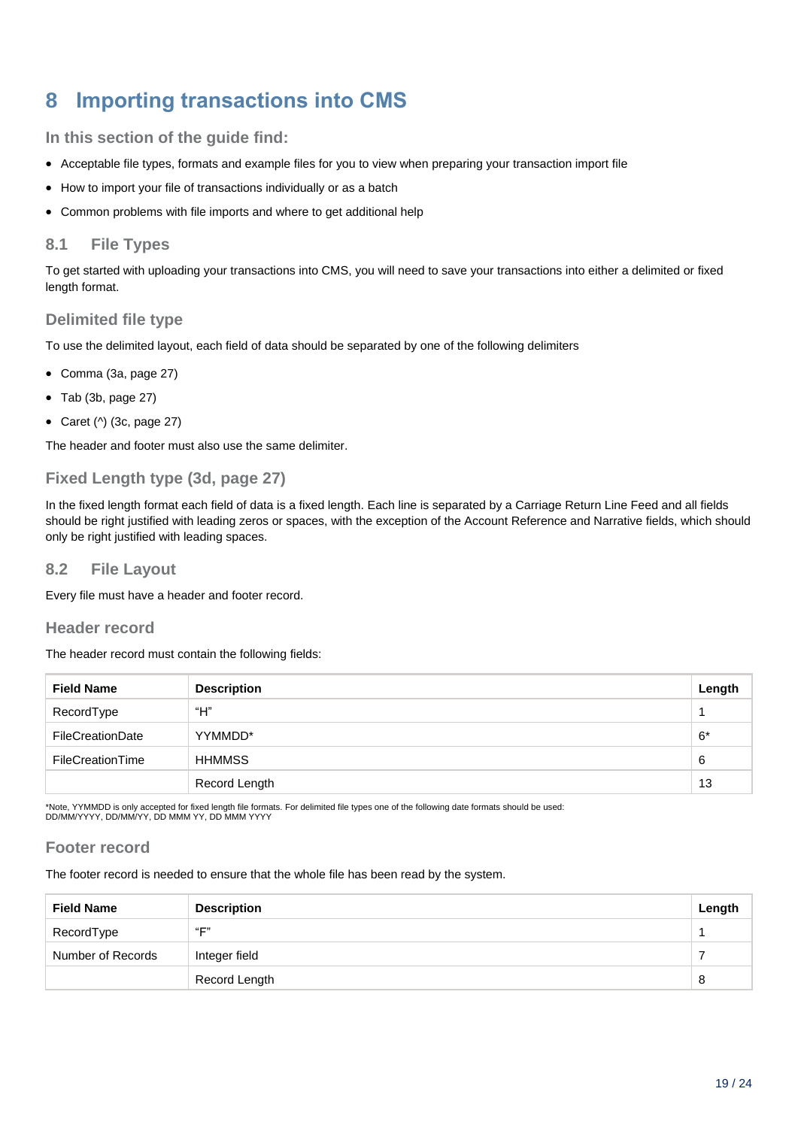## <span id="page-18-0"></span>**8 Importing transactions into CMS**

**In this section of the guide find:**

- Acceptable file types, formats and example files for you to view when preparing your transaction import file
- How to import your file of transactions individually or as a batch
- Common problems with file imports and where to get additional help

#### **8.1 File Types**

To get started with uploading your transactions into CMS, you will need to save your transactions into either a delimited or fixed length format.

#### **Delimited file type**

To use the delimited layout, each field of data should be separated by one of the following delimiters

- Comma (3a, page 27)
- Tab (3b, page 27)
- Caret  $(^\wedge)$  (3c, page 27)

The header and footer must also use the same delimiter.

#### **Fixed Length type (3d, page 27)**

In the fixed length format each field of data is a fixed length. Each line is separated by a Carriage Return Line Feed and all fields should be right justified with leading zeros or spaces, with the exception of the Account Reference and Narrative fields, which should only be right justified with leading spaces.

#### **8.2 File Layout**

Every file must have a header and footer record.

#### **Header record**

The header record must contain the following fields:

| <b>Field Name</b> | <b>Description</b> | Length |
|-------------------|--------------------|--------|
| RecordType        | "Н"                |        |
| FileCreationDate  | YYMMDD*            | $6*$   |
| FileCreationTime  | <b>HHMMSS</b>      | 6      |
|                   | Record Length      | 13     |

\*Note, YYMMDD is only accepted for fixed length file formats. For delimited file types one of the following date formats should be used: DD/MM/YYYY, DD/MM/YY, DD MMM YY, DD MMM YYYY

#### **Footer record**

The footer record is needed to ensure that the whole file has been read by the system.

| <b>Field Name</b> | <b>Description</b> | Length |
|-------------------|--------------------|--------|
| RecordType        | "F"                |        |
| Number of Records | Integer field      |        |
|                   | Record Length      | 8      |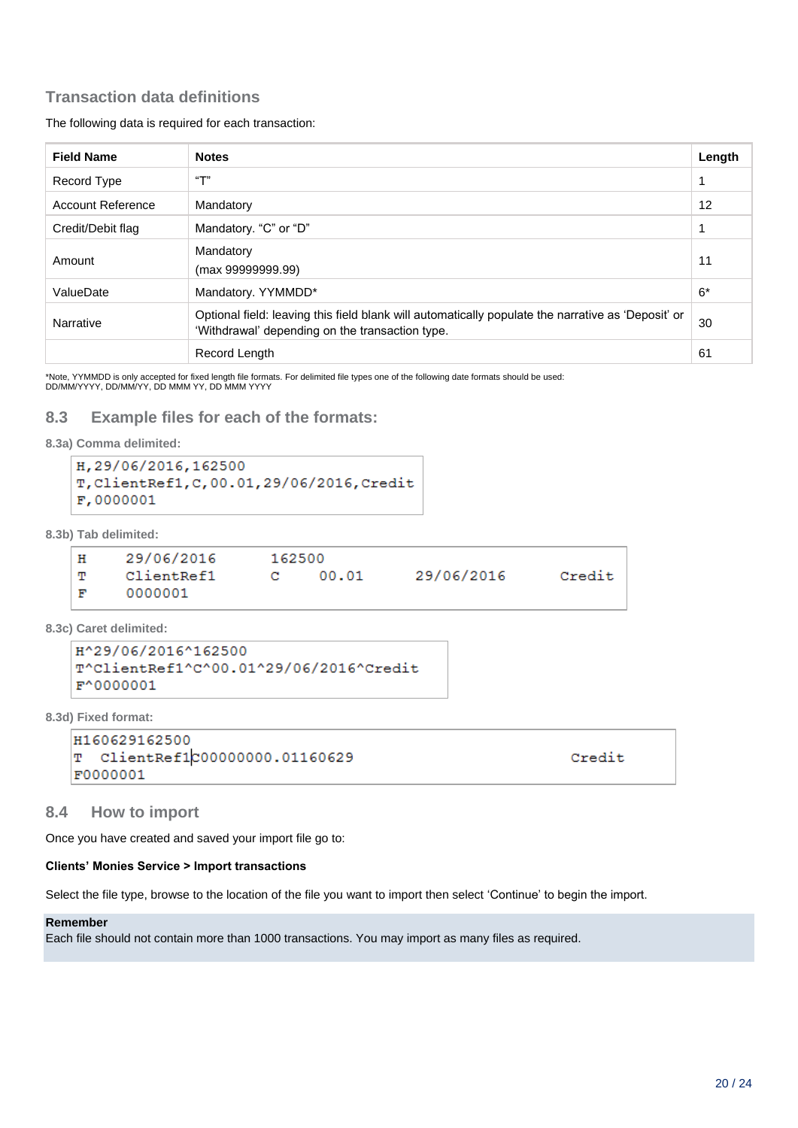#### **Transaction data definitions**

The following data is required for each transaction:

| <b>Field Name</b>        | <b>Notes</b>                                                                                                                                          | Length            |
|--------------------------|-------------------------------------------------------------------------------------------------------------------------------------------------------|-------------------|
| Record Type              | "T"                                                                                                                                                   |                   |
| <b>Account Reference</b> | Mandatory                                                                                                                                             | $12 \overline{ }$ |
| Credit/Debit flag        | Mandatory. "C" or "D"                                                                                                                                 |                   |
| Amount                   | Mandatory<br>(max 99999999.99)                                                                                                                        | 11                |
| ValueDate                | Mandatory. YYMMDD*                                                                                                                                    | $6*$              |
| Narrative                | Optional field: leaving this field blank will automatically populate the narrative as 'Deposit' or<br>'Withdrawal' depending on the transaction type. | 30                |
|                          | Record Length                                                                                                                                         | 61                |

\*Note, YYMMDD is only accepted for fixed length file formats. For delimited file types one of the following date formats should be used: DD/MM/YYYY, DD/MM/YY, DD MMM YY, DD MMM YYYY

#### **8.3 Example files for each of the formats:**

```
8.3a) Comma delimited:
```

```
H.29/06/2016.162500
T, ClientRef1, C, 00.01, 29/06/2016, Credit
F,0000001
```
**8.3b) Tab delimited:**

```
H29/06/2016
                       162500
     ClientRef1
                       \mathbf{C}00.0129/06/2016
                                                          Credit
T
F
     0000001
```
**8.3c) Caret delimited:**

```
H^29/06/2016^162500
T^ClientRef1^C^00.01^29/06/2016^Credit
F^0000001
```
**8.3d) Fixed format:**

```
H160629162500
  ClientRef1c00000000.01160629
m,
F0000001
```
Credit

#### **8.4 How to import**

Once you have created and saved your import file go to:

#### **Clients' Monies Service > Import transactions**

Select the file type, browse to the location of the file you want to import then select 'Continue' to begin the import.

#### **Remember**

Each file should not contain more than 1000 transactions. You may import as many files as required.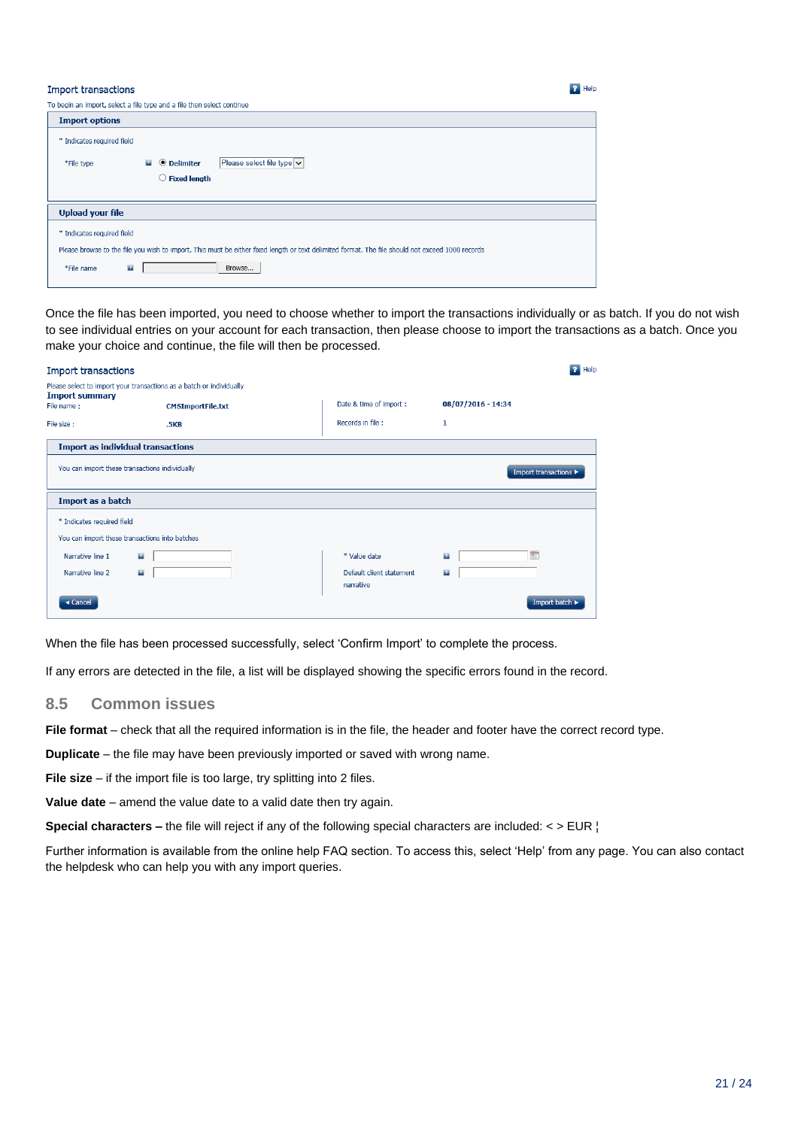#### **Import transactions**

\*File name

 $\overline{2}$ 

| To begin an import, select a file type and a file then select continue |                                                                                                                                                  |  |  |  |  |
|------------------------------------------------------------------------|--------------------------------------------------------------------------------------------------------------------------------------------------|--|--|--|--|
| <b>Import options</b>                                                  |                                                                                                                                                  |  |  |  |  |
| * Indicates required field                                             |                                                                                                                                                  |  |  |  |  |
| *File type                                                             | Please select file type $  \vee  $<br><b>O</b> Delimiter<br>$\mathbf{r}$                                                                         |  |  |  |  |
|                                                                        | $\bigcirc$ Fixed length                                                                                                                          |  |  |  |  |
|                                                                        |                                                                                                                                                  |  |  |  |  |
| <b>Upload your file</b>                                                |                                                                                                                                                  |  |  |  |  |
| * Indicates required field                                             |                                                                                                                                                  |  |  |  |  |
|                                                                        | Please browse to the file you wish to import. This must be either fixed length or text delimited format. The file should not exceed 1000 records |  |  |  |  |

Browse...

Once the file has been imported, you need to choose whether to import the transactions individually or as batch. If you do not wish to see individual entries on your account for each transaction, then please choose to import the transactions as a batch. Once you make your choice and continue, the file will then be processed.

| <b>Import transactions</b>                                                                                  |                          |                                       | Help                           |  |  |  |
|-------------------------------------------------------------------------------------------------------------|--------------------------|---------------------------------------|--------------------------------|--|--|--|
| Please select to import your transactions as a batch or individually<br><b>Import summary</b><br>File name: | <b>CMSImportFile.txt</b> | Date & time of import :               | 08/07/2016 - 14:34             |  |  |  |
| File size:                                                                                                  | .5KB                     | Records in file :                     | 1                              |  |  |  |
| <b>Import as individual transactions</b>                                                                    |                          |                                       |                                |  |  |  |
| You can import these transactions individually<br>Import transactions ▶                                     |                          |                                       |                                |  |  |  |
| Import as a batch                                                                                           |                          |                                       |                                |  |  |  |
| * Indicates required field<br>You can import these transactions into batches                                |                          |                                       |                                |  |  |  |
| Narrative line 1<br>$\mathbf{r}$                                                                            |                          | * Value date                          | $\mathbf{r}$<br>$\mathbf{R}$ : |  |  |  |
| Narrative line 2<br>$\mathbf{r}$                                                                            |                          | Default client statement<br>narrative | $\mathbf{r}$                   |  |  |  |
| « Cancel                                                                                                    |                          |                                       | Import batch                   |  |  |  |

When the file has been processed successfully, select 'Confirm Import' to complete the process.

If any errors are detected in the file, a list will be displayed showing the specific errors found in the record.

#### **8.5 Common issues**

File format – check that all the required information is in the file, the header and footer have the correct record type.

**Duplicate** – the file may have been previously imported or saved with wrong name.

**File size** – if the import file is too large, try splitting into 2 files.

**Value date** – amend the value date to a valid date then try again.

**Special characters –** the file will reject if any of the following special characters are included: < > EUR ¦

Further information is available from the online help FAQ section. To access this, select 'Help' from any page. You can also contact the helpdesk who can help you with any import queries.

 $P$  Help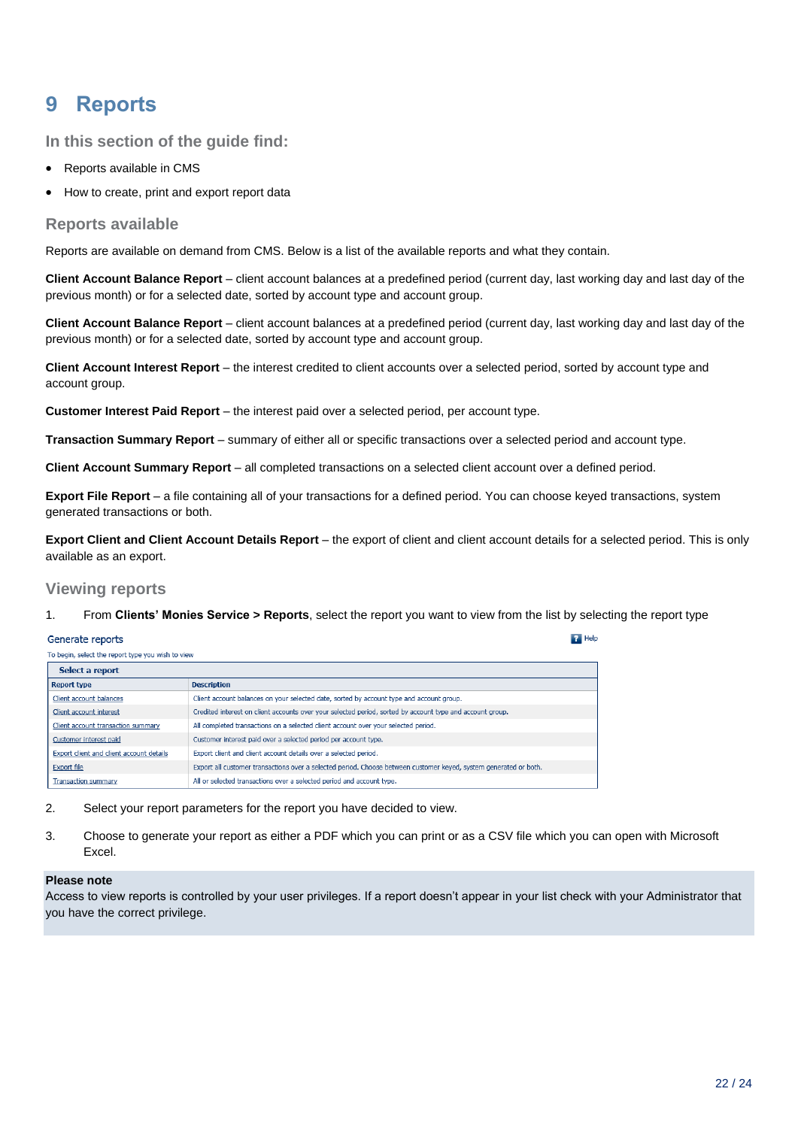## <span id="page-21-0"></span>**9 Reports**

**In this section of the guide find:**

- Reports available in CMS
- How to create, print and export report data

#### **Reports available**

Reports are available on demand from CMS. Below is a list of the available reports and what they contain.

**Client Account Balance Report** – client account balances at a predefined period (current day, last working day and last day of the previous month) or for a selected date, sorted by account type and account group.

**Client Account Balance Report** – client account balances at a predefined period (current day, last working day and last day of the previous month) or for a selected date, sorted by account type and account group.

**Client Account Interest Report** – the interest credited to client accounts over a selected period, sorted by account type and account group.

**Customer Interest Paid Report** – the interest paid over a selected period, per account type.

**Transaction Summary Report** – summary of either all or specific transactions over a selected period and account type.

**Client Account Summary Report** – all completed transactions on a selected client account over a defined period.

**Export File Report** – a file containing all of your transactions for a defined period. You can choose keyed transactions, system generated transactions or both.

**Export Client and Client Account Details Report** – the export of client and client account details for a selected period. This is only available as an export.

 $P$  Help

#### **Viewing reports**

1. From **Clients' Monies Service > Reports**, select the report you want to view from the list by selecting the report type

#### Generate reports

| To begin, select the report type you wish to view |                                                                                                                   |  |  |  |
|---------------------------------------------------|-------------------------------------------------------------------------------------------------------------------|--|--|--|
| Select a report                                   |                                                                                                                   |  |  |  |
| <b>Report type</b>                                | <b>Description</b>                                                                                                |  |  |  |
| Client account balances                           | Client account balances on your selected date, sorted by account type and account group.                          |  |  |  |
| Client account interest                           | Credited interest on client accounts over your selected period, sorted by account type and account group.         |  |  |  |
| Client account transaction summary                | All completed transactions on a selected client account over your selected period.                                |  |  |  |
| Customer interest paid                            | Customer interest paid over a selected period per account type.                                                   |  |  |  |
| Export client and client account details          | Export client and client account details over a selected period.                                                  |  |  |  |
| <b>Export file</b>                                | Export all customer transactions over a selected period. Choose between customer keyed, system generated or both. |  |  |  |
| <b>Transaction summary</b>                        | All or selected transactions over a selected period and account type.                                             |  |  |  |

2. Select your report parameters for the report you have decided to view.

3. Choose to generate your report as either a PDF which you can print or as a CSV file which you can open with Microsoft Excel.

#### **Please note**

Access to view reports is controlled by your user privileges. If a report doesn't appear in your list check with your Administrator that you have the correct privilege.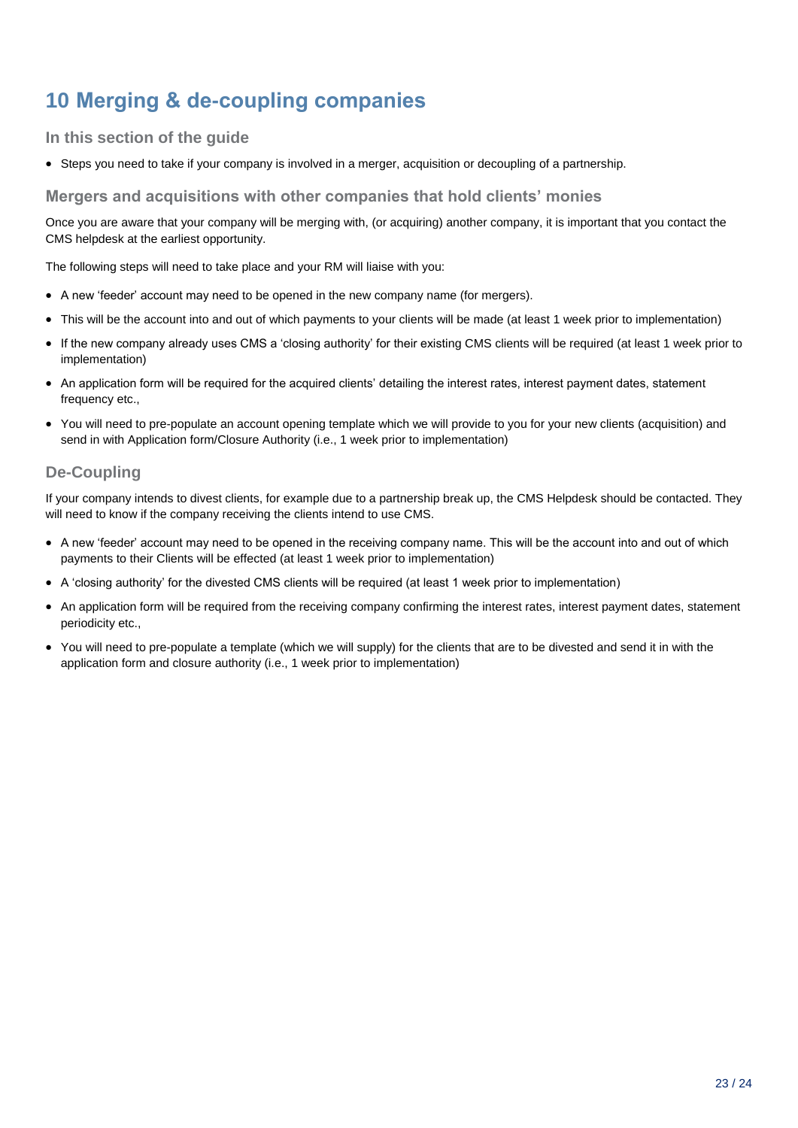## <span id="page-22-0"></span>**10 Merging & de-coupling companies**

#### **In this section of the guide**

Steps you need to take if your company is involved in a merger, acquisition or decoupling of a partnership.

#### **Mergers and acquisitions with other companies that hold clients' monies**

Once you are aware that your company will be merging with, (or acquiring) another company, it is important that you contact the CMS helpdesk at the earliest opportunity.

The following steps will need to take place and your RM will liaise with you:

- A new 'feeder' account may need to be opened in the new company name (for mergers).
- This will be the account into and out of which payments to your clients will be made (at least 1 week prior to implementation)
- If the new company already uses CMS a 'closing authority' for their existing CMS clients will be required (at least 1 week prior to implementation)
- An application form will be required for the acquired clients' detailing the interest rates, interest payment dates, statement frequency etc.,
- You will need to pre-populate an account opening template which we will provide to you for your new clients (acquisition) and send in with Application form/Closure Authority (i.e., 1 week prior to implementation)

#### **De-Coupling**

If your company intends to divest clients, for example due to a partnership break up, the CMS Helpdesk should be contacted. They will need to know if the company receiving the clients intend to use CMS.

- A new 'feeder' account may need to be opened in the receiving company name. This will be the account into and out of which payments to their Clients will be effected (at least 1 week prior to implementation)
- A 'closing authority' for the divested CMS clients will be required (at least 1 week prior to implementation)
- An application form will be required from the receiving company confirming the interest rates, interest payment dates, statement periodicity etc.,
- You will need to pre-populate a template (which we will supply) for the clients that are to be divested and send it in with the application form and closure authority (i.e., 1 week prior to implementation)